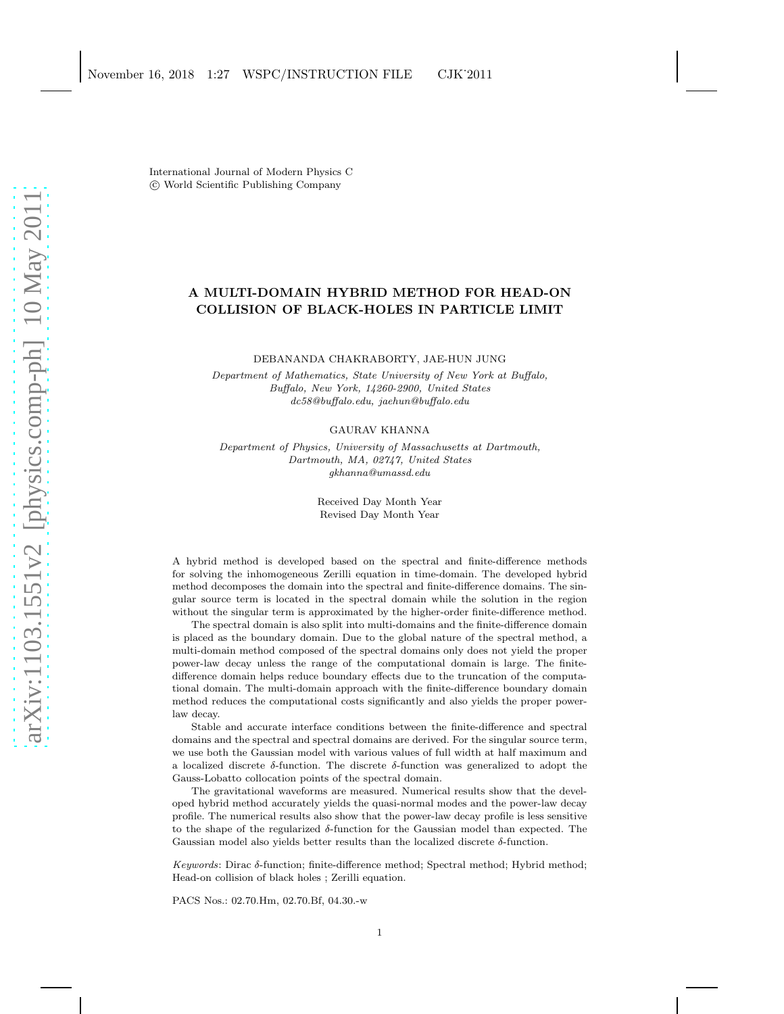International Journal of Modern Physics C c World Scientific Publishing Company

# A MULTI-DOMAIN HYBRID METHOD FOR HEAD-ON COLLISION OF BLACK-HOLES IN PARTICLE LIMIT

DEBANANDA CHAKRABORTY, JAE-HUN JUNG

Department of Mathematics, State University of New York at Buffalo, Buffalo, New York, 14260-2900, United States dc58@buffalo.edu, jaehun@buffalo.edu

### GAURAV KHANNA

Department of Physics, University of Massachusetts at Dartmouth, Dartmouth, MA, 02747, United States gkhanna@umassd.edu

> Received Day Month Year Revised Day Month Year

A hybrid method is developed based on the spectral and finite-difference methods for solving the inhomogeneous Zerilli equation in time-domain. The developed hybrid method decomposes the domain into the spectral and finite-difference domains. The singular source term is located in the spectral domain while the solution in the region without the singular term is approximated by the higher-order finite-difference method.

The spectral domain is also split into multi-domains and the finite-difference domain is placed as the boundary domain. Due to the global nature of the spectral method, a multi-domain method composed of the spectral domains only does not yield the proper power-law decay unless the range of the computational domain is large. The finitedifference domain helps reduce boundary effects due to the truncation of the computational domain. The multi-domain approach with the finite-difference boundary domain method reduces the computational costs significantly and also yields the proper powerlaw decay.

Stable and accurate interface conditions between the finite-difference and spectral domains and the spectral and spectral domains are derived. For the singular source term, we use both the Gaussian model with various values of full width at half maximum and a localized discrete δ-function. The discrete δ-function was generalized to adopt the Gauss-Lobatto collocation points of the spectral domain.

The gravitational waveforms are measured. Numerical results show that the developed hybrid method accurately yields the quasi-normal modes and the power-law decay profile. The numerical results also show that the power-law decay profile is less sensitive to the shape of the regularized  $\delta$ -function for the Gaussian model than expected. The Gaussian model also yields better results than the localized discrete δ-function.

Keywords: Dirac δ-function; finite-difference method; Spectral method; Hybrid method; Head-on collision of black holes ; Zerilli equation.

PACS Nos.: 02.70.Hm, 02.70.Bf, 04.30.-w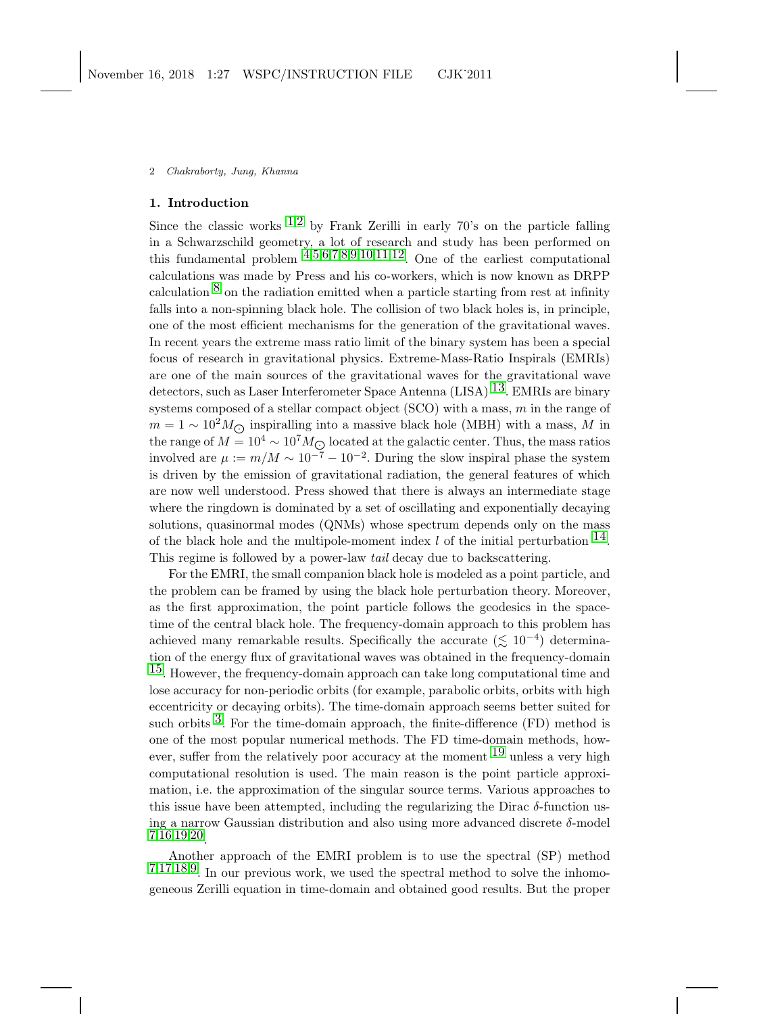### 1. Introduction

Since the classic works  $1.2$  $1.2$  $1.2$  by Frank Zerilli in early 70's on the particle falling in a Schwarzschild geometry, a lot of research and study has been performed on this fundamental problem  $4,5,6,7,8,9,10,11,12$  $4,5,6,7,8,9,10,11,12$  $4,5,6,7,8,9,10,11,12$  $4,5,6,7,8,9,10,11,12$  $4,5,6,7,8,9,10,11,12$  $4,5,6,7,8,9,10,11,12$  $4,5,6,7,8,9,10,11,12$  $4,5,6,7,8,9,10,11,12$  $4,5,6,7,8,9,10,11,12$  $4,5,6,7,8,9,10,11,12$  $4,5,6,7,8,9,10,11,12$  $4,5,6,7,8,9,10,11,12$  $4,5,6,7,8,9,10,11,12$  $4,5,6,7,8,9,10,11,12$  $4,5,6,7,8,9,10,11,12$  $4,5,6,7,8,9,10,11,12$ . One of the earliest computational calculations was made by Press and his co-workers, which is now known as DRPP calculation  $\delta$  on the radiation emitted when a particle starting from rest at infinity falls into a non-spinning black hole. The collision of two black holes is, in principle, one of the most efficient mechanisms for the generation of the gravitational waves. In recent years the extreme mass ratio limit of the binary system has been a special focus of research in gravitational physics. Extreme-Mass-Ratio Inspirals (EMRIs) are one of the main sources of the gravitational waves for the gravitational wave detectors, such as Laser Interferometer Space Antenna (LISA)  $^{13}$ . EMRIs are binary systems composed of a stellar compact object  $(SCO)$  with a mass, m in the range of  $m = 1 \sim 10^2 M_{\odot}$  inspiralling into a massive black hole (MBH) with a mass, M in the range of  $M = 10^4 \sim 10^7 M_{\bigodot}$  located at the galactic center. Thus, the mass ratios involved are  $\mu := m/M \sim 10^{-7} - 10^{-2}$ . During the slow inspiral phase the system is driven by the emission of gravitational radiation, the general features of which are now well understood. Press showed that there is always an intermediate stage where the ringdown is dominated by a set of oscillating and exponentially decaying solutions, quasinormal modes (QNMs) whose spectrum depends only on the mass of the black hole and the multipole-moment index  $l$  of the initial perturbation  $^{14}$ . This regime is followed by a power-law *tail* decay due to backscattering.

For the EMRI, the small companion black hole is modeled as a point particle, and the problem can be framed by using the black hole perturbation theory. Moreover, as the first approximation, the point particle follows the geodesics in the spacetime of the central black hole. The frequency-domain approach to this problem has achieved many remarkable results. Specifically the accurate  $(\lesssim 10^{-4})$  determination of the energy flux of gravitational waves was obtained in the frequency-domain <sup>15</sup>. However, the frequency-domain approach can take long computational time and lose accuracy for non-periodic orbits (for example, parabolic orbits, orbits with high eccentricity or decaying orbits). The time-domain approach seems better suited for such orbits  $3$ . For the time-domain approach, the finite-difference (FD) method is one of the most popular numerical methods. The FD time-domain methods, however, suffer from the relatively poor accuracy at the moment  $^{19}$  $^{19}$  $^{19}$  unless a very high computational resolution is used. The main reason is the point particle approximation, i.e. the approximation of the singular source terms. Various approaches to this issue have been attempted, including the regularizing the Dirac  $\delta$ -function using a narrow Gaussian distribution and also using more advanced discrete  $\delta$ -model [7](#page-24-5),[16](#page-25-5),[19](#page-25-4),[20.](#page-25-6)

Another approach of the EMRI problem is to use the spectral (SP) method [7](#page-24-5),[17](#page-25-7),[18](#page-25-8),[9.](#page-24-7) In our previous work, we used the spectral method to solve the inhomogeneous Zerilli equation in time-domain and obtained good results. But the proper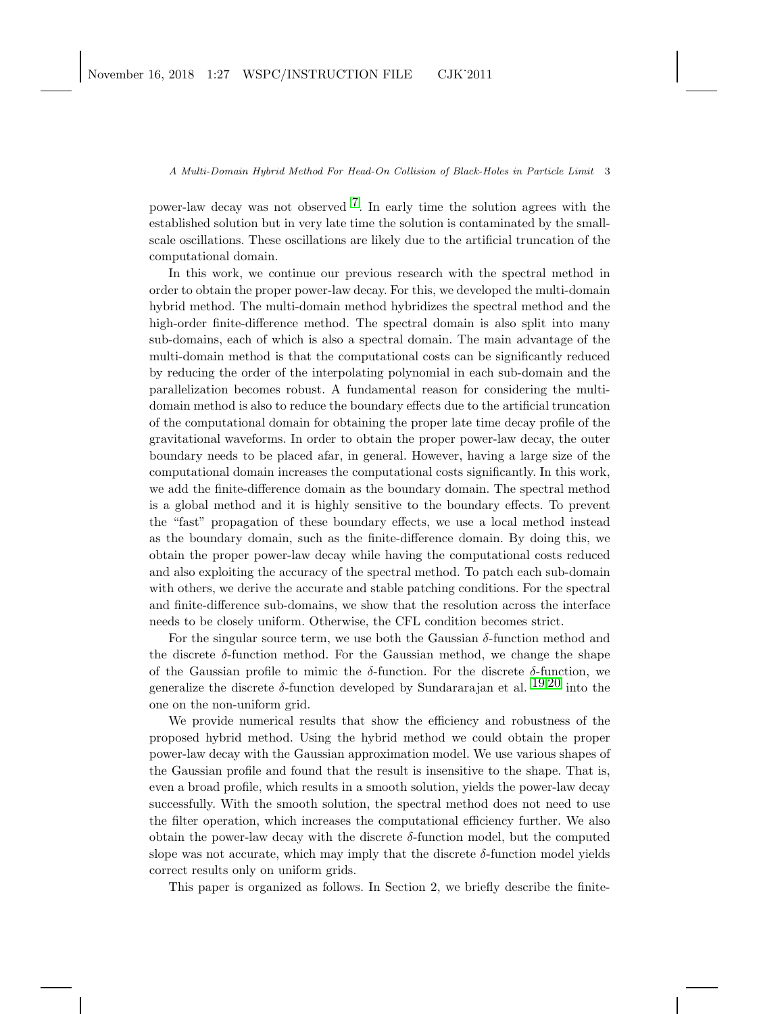power-law decay was not observed  $\frac{7}{1}$ . In early time the solution agrees with the established solution but in very late time the solution is contaminated by the smallscale oscillations. These oscillations are likely due to the artificial truncation of the computational domain.

In this work, we continue our previous research with the spectral method in order to obtain the proper power-law decay. For this, we developed the multi-domain hybrid method. The multi-domain method hybridizes the spectral method and the high-order finite-difference method. The spectral domain is also split into many sub-domains, each of which is also a spectral domain. The main advantage of the multi-domain method is that the computational costs can be significantly reduced by reducing the order of the interpolating polynomial in each sub-domain and the parallelization becomes robust. A fundamental reason for considering the multidomain method is also to reduce the boundary effects due to the artificial truncation of the computational domain for obtaining the proper late time decay profile of the gravitational waveforms. In order to obtain the proper power-law decay, the outer boundary needs to be placed afar, in general. However, having a large size of the computational domain increases the computational costs significantly. In this work, we add the finite-difference domain as the boundary domain. The spectral method is a global method and it is highly sensitive to the boundary effects. To prevent the "fast" propagation of these boundary effects, we use a local method instead as the boundary domain, such as the finite-difference domain. By doing this, we obtain the proper power-law decay while having the computational costs reduced and also exploiting the accuracy of the spectral method. To patch each sub-domain with others, we derive the accurate and stable patching conditions. For the spectral and finite-difference sub-domains, we show that the resolution across the interface needs to be closely uniform. Otherwise, the CFL condition becomes strict.

For the singular source term, we use both the Gaussian δ-function method and the discrete  $\delta$ -function method. For the Gaussian method, we change the shape of the Gaussian profile to mimic the  $\delta$ -function. For the discrete  $\delta$ -function, we generalize the discrete  $\delta$ -function developed by Sundararajan et al.  $19,20$  $19,20$  $19,20$  into the one on the non-uniform grid.

We provide numerical results that show the efficiency and robustness of the proposed hybrid method. Using the hybrid method we could obtain the proper power-law decay with the Gaussian approximation model. We use various shapes of the Gaussian profile and found that the result is insensitive to the shape. That is, even a broad profile, which results in a smooth solution, yields the power-law decay successfully. With the smooth solution, the spectral method does not need to use the filter operation, which increases the computational efficiency further. We also obtain the power-law decay with the discrete δ-function model, but the computed slope was not accurate, which may imply that the discrete  $\delta$ -function model yields correct results only on uniform grids.

This paper is organized as follows. In Section 2, we briefly describe the finite-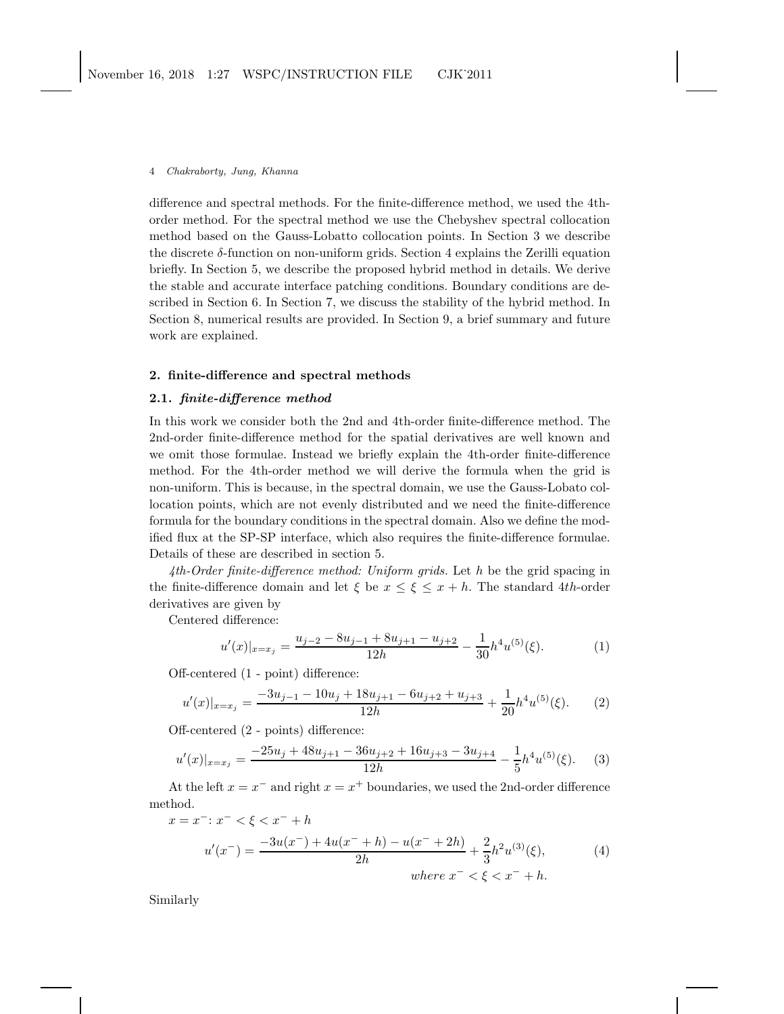difference and spectral methods. For the finite-difference method, we used the 4thorder method. For the spectral method we use the Chebyshev spectral collocation method based on the Gauss-Lobatto collocation points. In Section 3 we describe the discrete δ-function on non-uniform grids. Section 4 explains the Zerilli equation briefly. In Section 5, we describe the proposed hybrid method in details. We derive the stable and accurate interface patching conditions. Boundary conditions are described in Section 6. In Section 7, we discuss the stability of the hybrid method. In Section 8, numerical results are provided. In Section 9, a brief summary and future work are explained.

## 2. finite-difference and spectral methods

### 2.1. finite-difference method

In this work we consider both the 2nd and 4th-order finite-difference method. The 2nd-order finite-difference method for the spatial derivatives are well known and we omit those formulae. Instead we briefly explain the 4th-order finite-difference method. For the 4th-order method we will derive the formula when the grid is non-uniform. This is because, in the spectral domain, we use the Gauss-Lobato collocation points, which are not evenly distributed and we need the finite-difference formula for the boundary conditions in the spectral domain. Also we define the modified flux at the SP-SP interface, which also requires the finite-difference formulae. Details of these are described in section 5.

4th-Order finite-difference method: Uniform grids. Let h be the grid spacing in the finite-difference domain and let  $\xi$  be  $x \leq \xi \leq x + h$ . The standard 4th-order derivatives are given by

Centered difference:

$$
u'(x)|_{x=x_j} = \frac{u_{j-2} - 8u_{j-1} + 8u_{j+1} - u_{j+2}}{12h} - \frac{1}{30}h^4u^{(5)}(\xi). \tag{1}
$$

Off-centered (1 - point) difference:

$$
u'(x)|_{x=x_j} = \frac{-3u_{j-1} - 10u_j + 18u_{j+1} - 6u_{j+2} + u_{j+3}}{12h} + \frac{1}{20}h^4u^{(5)}(\xi). \tag{2}
$$

Off-centered (2 - points) difference:

$$
u'(x)|_{x=x_j} = \frac{-25u_j + 48u_{j+1} - 36u_{j+2} + 16u_{j+3} - 3u_{j+4}}{12h} - \frac{1}{5}h^4u^{(5)}(\xi). \tag{3}
$$

At the left  $x = x^-$  and right  $x = x^+$  boundaries, we used the 2nd-order difference method.

<span id="page-3-0"></span>
$$
= x^{-}: x^{-} < \xi < x^{-} + h
$$
  

$$
u'(x^{-}) = \frac{-3u(x^{-}) + 4u(x^{-} + h) - u(x^{-} + 2h)}{2h} + \frac{2}{3}h^{2}u^{(3)}(\xi),
$$
(4)  
where  $x^{-} < \xi < x^{-} + h$ .

Similarly

 $\hat{x}$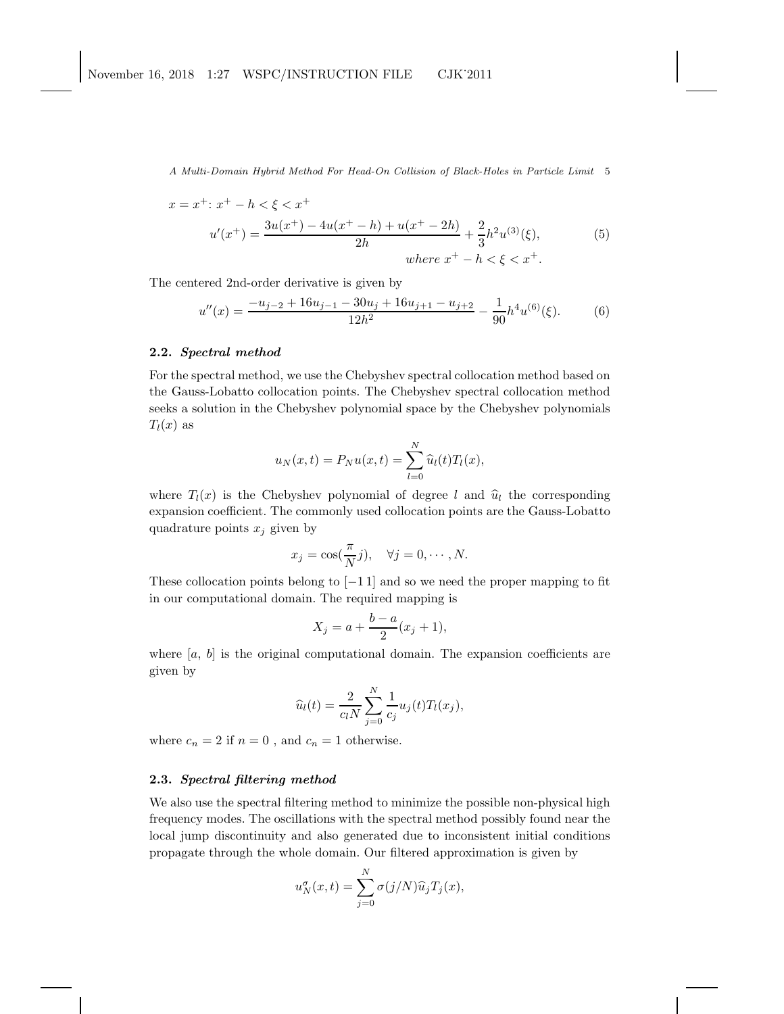$$
x = x^{+}: x^{+} - h < \xi < x^{+}
$$
  
\n
$$
u'(x^{+}) = \frac{3u(x^{+}) - 4u(x^{+} - h) + u(x^{+} - 2h)}{2h} + \frac{2}{3}h^{2}u^{(3)}(\xi),
$$
\nwhere  $x^{+} - h < \xi < x^{+}$ . (5)

The centered 2nd-order derivative is given by

$$
u''(x) = \frac{-u_{j-2} + 16u_{j-1} - 30u_j + 16u_{j+1} - u_{j+2}}{12h^2} - \frac{1}{90}h^4u^{(6)}(\xi). \tag{6}
$$

# 2.2. Spectral method

For the spectral method, we use the Chebyshev spectral collocation method based on the Gauss-Lobatto collocation points. The Chebyshev spectral collocation method seeks a solution in the Chebyshev polynomial space by the Chebyshev polynomials  $T_l(x)$  as

$$
u_N(x,t) = P_N u(x,t) = \sum_{l=0}^{N} \hat{u}_l(t) T_l(x),
$$

where  $T_l(x)$  is the Chebyshev polynomial of degree l and  $\hat{u}_l$  the corresponding expansion coefficient. The commonly used collocation points are the Gauss-Lobatto quadrature points  $x_i$  given by

$$
x_j = \cos(\frac{\pi}{N}j), \quad \forall j = 0, \cdots, N.
$$

These collocation points belong to  $[-1]$  and so we need the proper mapping to fit in our computational domain. The required mapping is

$$
X_j = a + \frac{b-a}{2}(x_j + 1),
$$

where  $[a, b]$  is the original computational domain. The expansion coefficients are given by

$$
\widehat{u}_l(t) = \frac{2}{c_l N} \sum_{j=0}^{N} \frac{1}{c_j} u_j(t) T_l(x_j),
$$

where  $c_n=2$  if  $n=0$  , and  $c_n=1$  otherwise.

## 2.3. Spectral filtering method

We also use the spectral filtering method to minimize the possible non-physical high frequency modes. The oscillations with the spectral method possibly found near the local jump discontinuity and also generated due to inconsistent initial conditions propagate through the whole domain. Our filtered approximation is given by

$$
u_N^{\sigma}(x,t) = \sum_{j=0}^N \sigma(j/N)\hat{u}_j T_j(x),
$$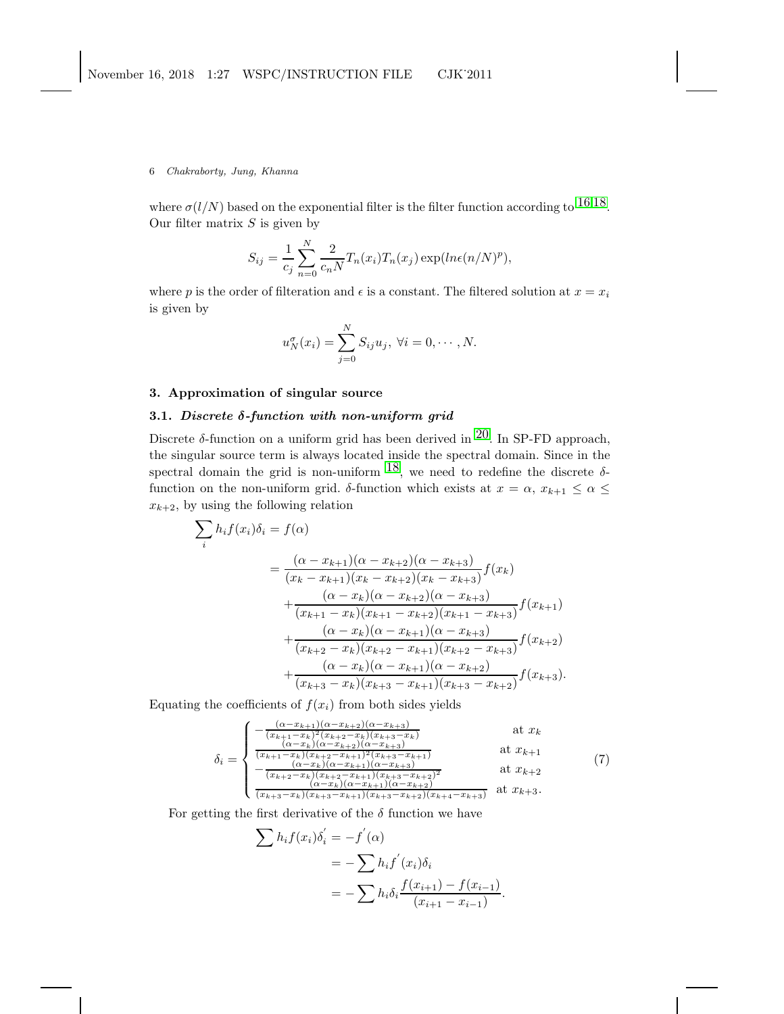where  $\sigma(l/N)$  based on the exponential filter is the filter function according to <sup>[16](#page-25-5),18</sup>. Our filter matrix  $S$  is given by

$$
S_{ij} = \frac{1}{c_j} \sum_{n=0}^{N} \frac{2}{c_n N} T_n(x_i) T_n(x_j) \exp(ln\epsilon(n/N)^p),
$$

where p is the order of filteration and  $\epsilon$  is a constant. The filtered solution at  $x = x_i$ is given by

$$
u_N^{\sigma}(x_i) = \sum_{j=0}^N S_{ij} u_j, \ \forall i = 0, \cdots, N.
$$

## 3. Approximation of singular source

# 3.1. Discrete δ-function with non-uniform grid

Discrete  $\delta$ -function on a uniform grid has been derived in  $^{20}$ . In SP-FD approach, the singular source term is always located inside the spectral domain. Since in the spectral domain the grid is non-uniform  $^{18}$ , we need to redefine the discrete  $\delta$ function on the non-uniform grid. δ-function which exists at  $x = \alpha$ ,  $x_{k+1} \leq \alpha \leq$  $x_{k+2}$ , by using the following relation

$$
\sum_{i} h_i f(x_i) \delta_i = f(\alpha)
$$
\n
$$
= \frac{(\alpha - x_{k+1})(\alpha - x_{k+2})(\alpha - x_{k+3})}{(x_k - x_{k+1})(x_k - x_{k+2})(x_k - x_{k+3})} f(x_k)
$$
\n
$$
+ \frac{(\alpha - x_k)(\alpha - x_{k+2})(\alpha - x_{k+3})}{(x_{k+1} - x_k)(x_{k+1} - x_{k+2})(x_{k+1} - x_{k+3})} f(x_{k+1})
$$
\n
$$
+ \frac{(\alpha - x_k)(\alpha - x_{k+1})(\alpha - x_{k+3})}{(x_{k+2} - x_k)(x_{k+2} - x_{k+1})(x_{k+2} - x_{k+3})} f(x_{k+2})
$$
\n
$$
+ \frac{(\alpha - x_k)(\alpha - x_{k+1})(\alpha - x_{k+2})}{(x_{k+3} - x_k)(x_{k+3} - x_{k+1})(x_{k+3} - x_{k+2})} f(x_{k+3}).
$$

Equating the coefficients of  $f(x_i)$  from both sides yields

$$
\delta_{i} = \begin{cases}\n\frac{(\alpha - x_{k+1})(\alpha - x_{k+2})(\alpha - x_{k+3})}{(x_{k+1} - x_k)^2 (x_{k+2} - x_k)(x_{k+3} - x_k)} & \text{at } x_k \\
\frac{(\alpha - x_k)(\alpha - x_{k+2})}{(\alpha - x_k)(x_{k+2} - x_{k+1})^2 (x_{k+3} - x_{k+3})} & \text{at } x_{k+1} \\
\frac{(\alpha - x_k)(x_{k+2} - x_{k+1})(x_{k+3} - x_{k+1})}{(\alpha - x_k)(\alpha - x_{k+1})(\alpha - x_{k+3})} & \text{at } x_{k+2} \\
\frac{(\alpha - x_k)(x_{k+2} - x_{k+1})(\alpha - x_{k+2})}{(\alpha - x_k)(x_{k+2} - x_{k+1})(x_{k+3} - x_{k+2})} & \text{at } x_{k+3}.\n\end{cases} (7)
$$

$$
\left\{\frac{(\alpha-x_k)(\alpha-x_{k+1})(\alpha-x_{k+2})}{(x_{k+3}-x_k)(x_{k+3}-x_{k+1})(x_{k+3}-x_{k+2})(x_{k+4}-x_{k+3})}\right. \text{ at } x_{k+3}.
$$

For getting the first derivative of the  $\delta$  function we have

$$
\sum h_i f(x_i) \delta'_i = -f'(\alpha) \n= -\sum h_i f'(x_i) \delta_i \n= -\sum h_i \delta_i \frac{f(x_{i+1}) - f(x_{i-1})}{(x_{i+1} - x_{i-1})}.
$$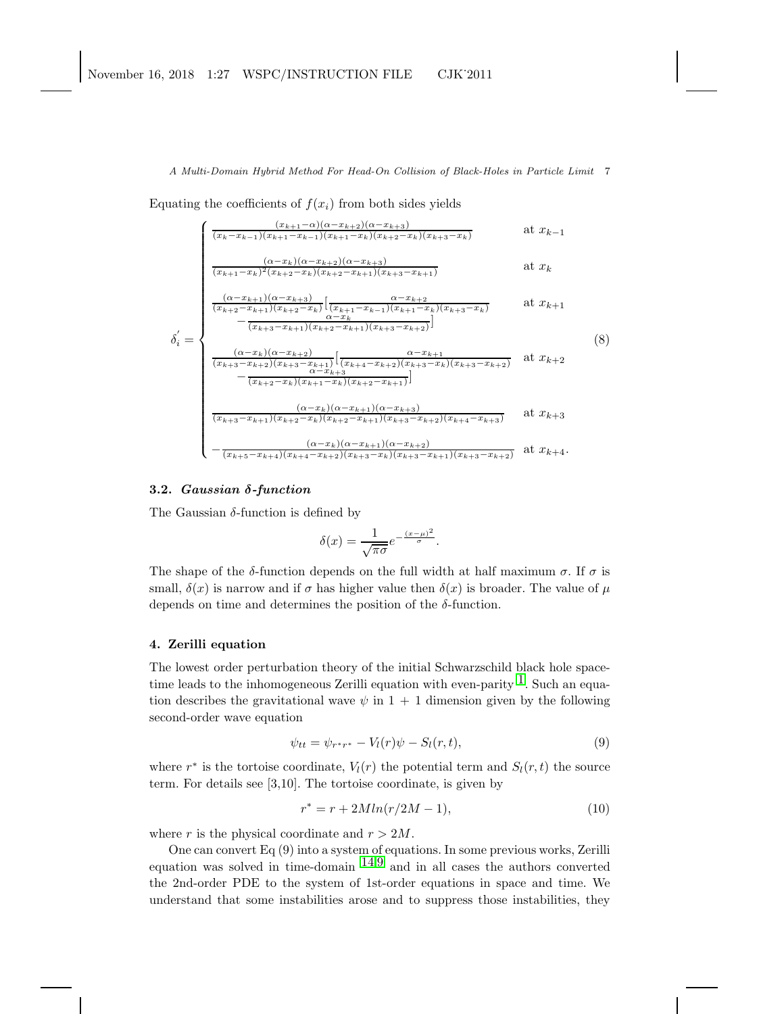Equating the coefficients of  $f(x_i)$  from both sides yields

$$
\delta_{i}^{(x_{k+1}-\alpha)(\alpha-x_{k+2})(\alpha-x_{k+3})}
$$
 at  $x_{k-1}$   
\n
$$
\frac{(\alpha-x_{k})(\alpha-x_{k+2})(x_{k+2}-x_{k})(x_{k+3}-x_{k})}{(x_{k+1}-x_{k})^{2}(x_{k+2}-x_{k})(x_{k+2}-x_{k+1})(x_{k+3}-x_{k+1})}
$$
 at  $x_{k}$   
\n
$$
\frac{(\alpha-x_{k})(\alpha-x_{k+2})(x_{k+2}-x_{k+1})(x_{k+3}-x_{k+1})}{(x_{k+2}-x_{k+1})(x_{k+2}-x_{k})} = \frac{\alpha-x_{k+2}}{(x_{k+3}-x_{k+1})(x_{k+2}-x_{k+1})(x_{k+3}-x_{k})}
$$
 at  $x_{k}$   
\n
$$
\delta_{i}^{'} = \begin{cases}\n\frac{(\alpha-x_{k})(\alpha-x_{k+3})}{(\alpha-x_{k})} \left[\frac{\alpha-x_{k}}{(\alpha-x_{k})} - \frac{\alpha-x_{k+2}}{(\alpha-x_{k})} - \frac{\alpha-x_{k+1}}{(\alpha-x_{k})} - \frac{\alpha-x_{k+1}}{(\alpha-x_{k})} - \frac{\alpha-x_{k+1}}{(\alpha-x_{k})} - \frac{\alpha-x_{k+1}}{(\alpha-x_{k})} - \frac{\alpha-x_{k+1}}{(\alpha-x_{k})} - \frac{\alpha-x_{k+1}}{(\alpha-x_{k})} - \frac{\alpha-x_{k+1}}{(\alpha-x_{k})} - \frac{\alpha-x_{k+1}}{(\alpha-x_{k})} - \frac{\alpha-x_{k+1}}{(\alpha-x_{k})} - \frac{\alpha-x_{k+1}}{(\alpha-x_{k})} - \frac{\alpha-x_{k+1}}{(\alpha-x_{k})} - \frac{\alpha-x_{k+1}}{(\alpha-x_{k})} - \frac{\alpha-x_{k+1}}{(\alpha-x_{k})} - \frac{\alpha-x_{k+1}}{(\alpha-x_{k})} - \frac{\alpha-x_{k+1}}{(\alpha-x_{k})} - \frac{\alpha-x_{k+1}}{(\alpha-x_{k})} - \frac{\alpha-x_{k+1}}{(\alpha-x_{k})} - \frac{\alpha-x_{k+1}}{(\alpha-x_{k})} - \frac{\alpha-x_{k+1}}{(\alpha-x_{k})} - \frac{\alpha-x_{k+1}}{(\alpha-x_{k})} - \frac{\alpha-x_{k+1}}{
$$

### 3.2. Gaussian δ-function

The Gaussian  $\delta$ -function is defined by

$$
\delta(x) = \frac{1}{\sqrt{\pi \sigma}} e^{-\frac{(x-\mu)^2}{\sigma}}.
$$

The shape of the  $\delta\text{-function depends on the full width at half maximum }\sigma.$  If  $\sigma$  is small,  $\delta(x)$  is narrow and if  $\sigma$  has higher value then  $\delta(x)$  is broader. The value of  $\mu$ depends on time and determines the position of the  $\delta$ -function.

### 4. Zerilli equation

The lowest order perturbation theory of the initial Schwarzschild black hole spacetime leads to the inhomogeneous Zerilli equation with even-parity  $\frac{1}{1}$  $\frac{1}{1}$  $\frac{1}{1}$ . Such an equation describes the gravitational wave  $\psi$  in 1 + 1 dimension given by the following second-order wave equation

$$
\psi_{tt} = \psi_{r^*r^*} - V_l(r)\psi - S_l(r,t),
$$
\n(9)

where  $r^*$  is the tortoise coordinate,  $V_l(r)$  the potential term and  $S_l(r,t)$  the source term. For details see [3,10]. The tortoise coordinate, is given by

$$
r^* = r + 2Mln(r/2M - 1),
$$
\n(10)

where r is the physical coordinate and  $r > 2M$ .

One can convert Eq (9) into a system of equations. In some previous works, Zerilli equation was solved in time-domain [14](#page-25-2),[9](#page-24-7) and in all cases the authors converted the 2nd-order PDE to the system of 1st-order equations in space and time. We understand that some instabilities arose and to suppress those instabilities, they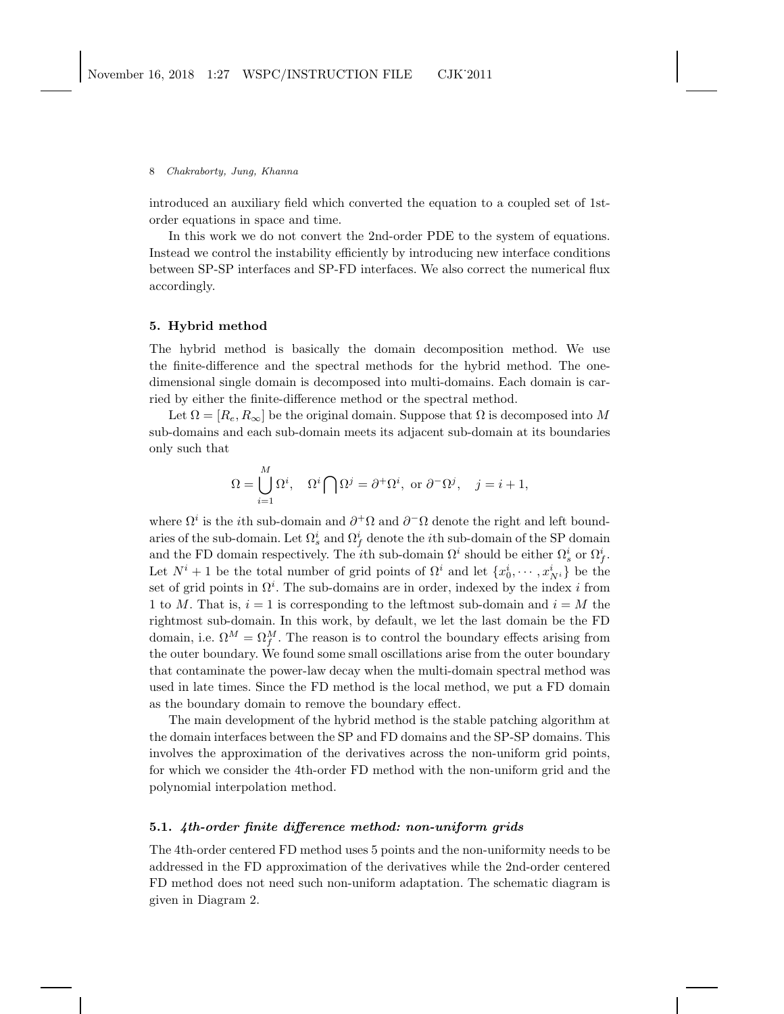introduced an auxiliary field which converted the equation to a coupled set of 1storder equations in space and time.

In this work we do not convert the 2nd-order PDE to the system of equations. Instead we control the instability efficiently by introducing new interface conditions between SP-SP interfaces and SP-FD interfaces. We also correct the numerical flux accordingly.

#### 5. Hybrid method

The hybrid method is basically the domain decomposition method. We use the finite-difference and the spectral methods for the hybrid method. The onedimensional single domain is decomposed into multi-domains. Each domain is carried by either the finite-difference method or the spectral method.

Let  $\Omega = [R_e, R_\infty]$  be the original domain. Suppose that  $\Omega$  is decomposed into M sub-domains and each sub-domain meets its adjacent sub-domain at its boundaries only such that

$$
\Omega = \bigcup_{i=1}^{M} \Omega^{i}, \quad \Omega^{i} \bigcap \Omega^{j} = \partial^{+} \Omega^{i}, \text{ or } \partial^{-} \Omega^{j}, \quad j = i + 1,
$$

where  $\Omega^i$  is the *i*th sub-domain and  $\partial^+\Omega$  and  $\partial^-\Omega$  denote the right and left boundaries of the sub-domain. Let  $\Omega_s^i$  and  $\Omega_f^i$  denote the *i*th sub-domain of the SP domain and the FD domain respectively. The *i*<sup>th</sup> sub-domain  $\Omega^i$  should be either  $\Omega^i_s$  or  $\Omega^i_f$ . Let  $N^i + 1$  be the total number of grid points of  $\Omega^i$  and let  $\{x_0^i, \dots, x_{N^i}^i\}$  be the set of grid points in  $\Omega^i$ . The sub-domains are in order, indexed by the index i from 1 to M. That is,  $i = 1$  is corresponding to the leftmost sub-domain and  $i = M$  the rightmost sub-domain. In this work, by default, we let the last domain be the FD domain, i.e.  $\Omega^M = \Omega_f^M$ . The reason is to control the boundary effects arising from the outer boundary. We found some small oscillations arise from the outer boundary that contaminate the power-law decay when the multi-domain spectral method was used in late times. Since the FD method is the local method, we put a FD domain as the boundary domain to remove the boundary effect.

The main development of the hybrid method is the stable patching algorithm at the domain interfaces between the SP and FD domains and the SP-SP domains. This involves the approximation of the derivatives across the non-uniform grid points, for which we consider the 4th-order FD method with the non-uniform grid and the polynomial interpolation method.

### 5.1. 4th-order finite difference method: non-uniform grids

The 4th-order centered FD method uses 5 points and the non-uniformity needs to be addressed in the FD approximation of the derivatives while the 2nd-order centered FD method does not need such non-uniform adaptation. The schematic diagram is given in Diagram 2.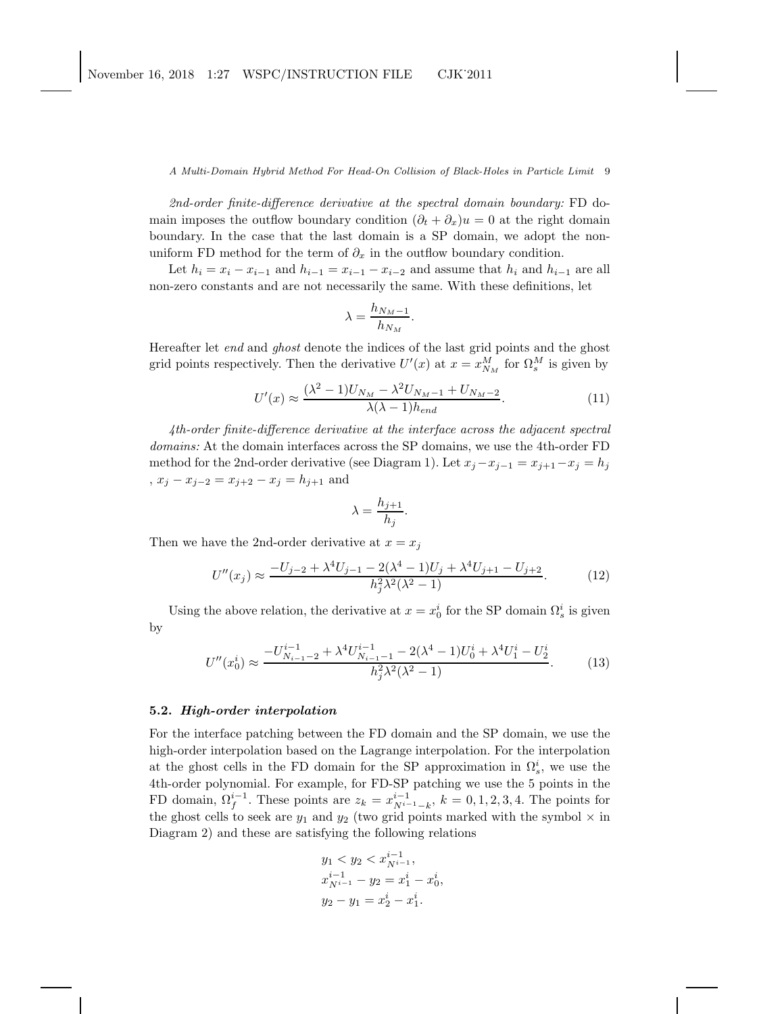2nd-order finite-difference derivative at the spectral domain boundary: FD domain imposes the outflow boundary condition  $(\partial_t + \partial_x)u = 0$  at the right domain boundary. In the case that the last domain is a SP domain, we adopt the nonuniform FD method for the term of  $\partial_x$  in the outflow boundary condition.

Let  $h_i = x_i - x_{i-1}$  and  $h_{i-1} = x_{i-1} - x_{i-2}$  and assume that  $h_i$  and  $h_{i-1}$  are all non-zero constants and are not necessarily the same. With these definitions, let

$$
\lambda = \frac{h_{N_M-1}}{h_{N_M}}.
$$

Hereafter let end and ghost denote the indices of the last grid points and the ghost grid points respectively. Then the derivative  $U'(x)$  at  $x = x_{N_M}^M$  for  $\Omega_s^M$  is given by

<span id="page-8-1"></span>
$$
U'(x) \approx \frac{(\lambda^2 - 1)U_{N_M} - \lambda^2 U_{N_M - 1} + U_{N_M - 2}}{\lambda(\lambda - 1)h_{end}}.\tag{11}
$$

4th-order finite-difference derivative at the interface across the adjacent spectral domains: At the domain interfaces across the SP domains, we use the 4th-order FD method for the 2nd-order derivative (see Diagram 1). Let  $x_j - x_{j-1} = x_{j+1} - x_j = h_j$ ,  $x_j - x_{j-2} = x_{j+2} - x_j = h_{j+1}$  and

$$
\lambda = \frac{h_{j+1}}{h_j}.
$$

Then we have the 2nd-order derivative at  $x = x_j$ 

$$
U''(x_j) \approx \frac{-U_{j-2} + \lambda^4 U_{j-1} - 2(\lambda^4 - 1)U_j + \lambda^4 U_{j+1} - U_{j+2}}{h_j^2 \lambda^2 (\lambda^2 - 1)}.
$$
 (12)

Using the above relation, the derivative at  $x = x_0^i$  for the SP domain  $\Omega_s^i$  is given by

<span id="page-8-0"></span>
$$
U''(x_0^i) \approx \frac{-U_{N_{i-1}-2}^{i-1} + \lambda^4 U_{N_{i-1}-1}^{i-1} - 2(\lambda^4 - 1)U_0^i + \lambda^4 U_1^i - U_2^i}{h_j^2 \lambda^2 (\lambda^2 - 1)}.
$$
 (13)

## 5.2. High-order interpolation

For the interface patching between the FD domain and the SP domain, we use the high-order interpolation based on the Lagrange interpolation. For the interpolation at the ghost cells in the FD domain for the SP approximation in  $\Omega_s^i$ , we use the 4th-order polynomial. For example, for FD-SP patching we use the 5 points in the FD domain,  $\Omega_f^{i-1}$ . These points are  $z_k = x_{N^{i-1}-k}^{i-1}$ ,  $k = 0, 1, 2, 3, 4$ . The points for the ghost cells to seek are  $y_1$  and  $y_2$  (two grid points marked with the symbol  $\times$  in Diagram 2) and these are satisfying the following relations

$$
y_1 < y_2 < x_{N^{i-1}}^{i-1},
$$
  
\n
$$
x_{N^{i-1}}^{i-1} - y_2 = x_1^i - x_0^i
$$
  
\n
$$
y_2 - y_1 = x_2^i - x_1^i.
$$

,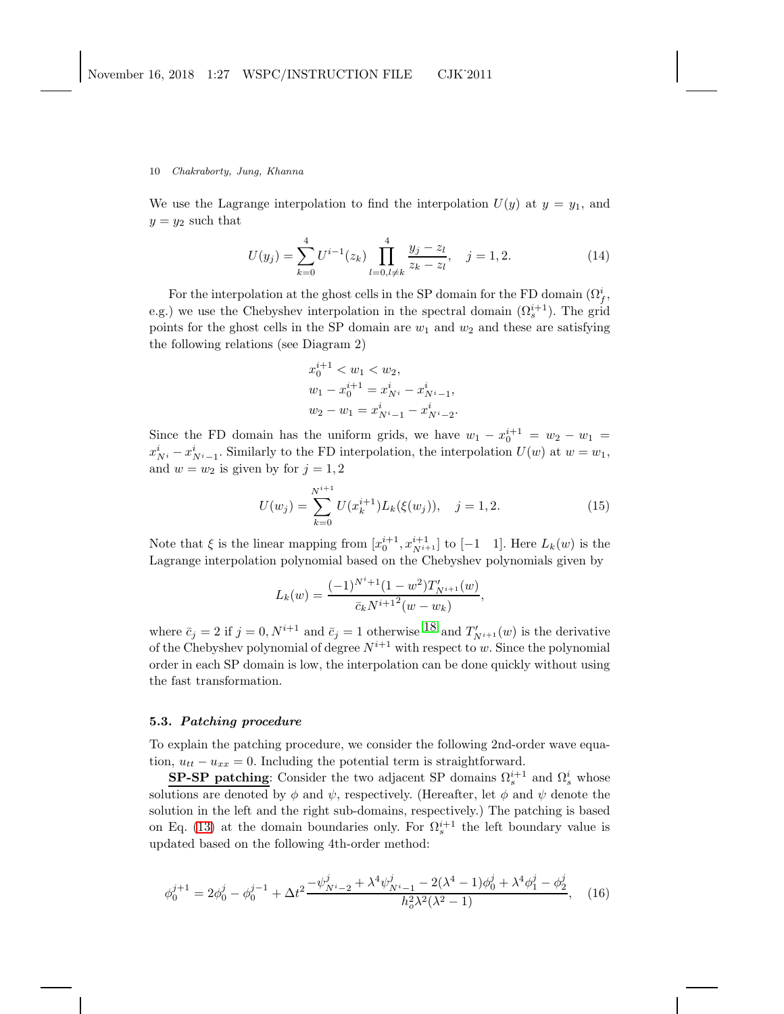We use the Lagrange interpolation to find the interpolation  $U(y)$  at  $y = y_1$ , and  $y = y_2$  such that

<span id="page-9-2"></span>
$$
U(y_j) = \sum_{k=0}^{4} U^{i-1}(z_k) \prod_{l=0, l \neq k}^{4} \frac{y_j - z_l}{z_k - z_l}, \quad j = 1, 2.
$$
 (14)

For the interpolation at the ghost cells in the SP domain for the FD domain  $(\Omega_f^i, \mathcal{S}_f^i)$ e.g.) we use the Chebyshev interpolation in the spectral domain  $(\Omega_s^{i+1})$ . The grid points for the ghost cells in the SP domain are  $w_1$  and  $w_2$  and these are satisfying the following relations (see Diagram 2)

$$
x_0^{i+1} < w_1 < w_2, \\
w_1 - x_0^{i+1} = x_{N^i}^i - x_{N^i - 1}^i, \\
w_2 - w_1 = x_{N^i - 1}^i - x_{N^i - 2}^i.
$$

Since the FD domain has the uniform grids, we have  $w_1 - x_0^{i+1} = w_2 - w_1 =$  $x_{N^{i}}^{i} - x_{N^{i}-1}^{i}$ . Similarly to the FD interpolation, the interpolation  $U(w)$  at  $w = w_{1}$ , and  $w = w_2$  is given by for  $j = 1, 2$ 

<span id="page-9-0"></span>
$$
U(w_j) = \sum_{k=0}^{N^{i+1}} U(x_k^{i+1}) L_k(\xi(w_j)), \quad j = 1, 2.
$$
 (15)

Note that  $\xi$  is the linear mapping from  $[x_0^{i+1}, x_{N^{i+1}}^{i+1}]$  to  $[-1 \quad 1]$ . Here  $L_k(w)$  is the Lagrange interpolation polynomial based on the Chebyshev polynomials given by

$$
L_k(w) = \frac{(-1)^{N^i+1} (1-w^2) T'_{N^{i+1}}(w)}{\bar{c}_k N^{i+1} (w-w_k)},
$$

where  $\bar{c}_j = 2$  if  $j = 0, N^{i+1}$  and  $\bar{c}_j = 1$  otherwise  $^{18}$  $^{18}$  $^{18}$  and  $T'_{N^{i+1}}(w)$  is the derivative of the Chebyshev polynomial of degree  $N^{i+1}$  with respect to w. Since the polynomial order in each SP domain is low, the interpolation can be done quickly without using the fast transformation.

### 5.3. Patching procedure

To explain the patching procedure, we consider the following 2nd-order wave equation,  $u_{tt} - u_{xx} = 0$ . Including the potential term is straightforward.

**SP-SP patching**: Consider the two adjacent SP domains  $\Omega_s^{i+1}$  and  $\Omega_s^i$  whose solutions are denoted by  $\phi$  and  $\psi$ , respectively. (Hereafter, let  $\phi$  and  $\psi$  denote the solution in the left and the right sub-domains, respectively.) The patching is based on Eq. [\(13\)](#page-8-0) at the domain boundaries only. For  $\Omega_s^{i+1}$  the left boundary value is updated based on the following 4th-order method:

<span id="page-9-1"></span>
$$
\phi_0^{j+1} = 2\phi_0^j - \phi_0^{j-1} + \Delta t^2 \frac{-\psi_{N^i-2}^j + \lambda^4 \psi_{N^i-1}^j - 2(\lambda^4 - 1)\phi_0^j + \lambda^4 \phi_1^j - \phi_2^j}{h_o^2 \lambda^2 (\lambda^2 - 1)},
$$
(16)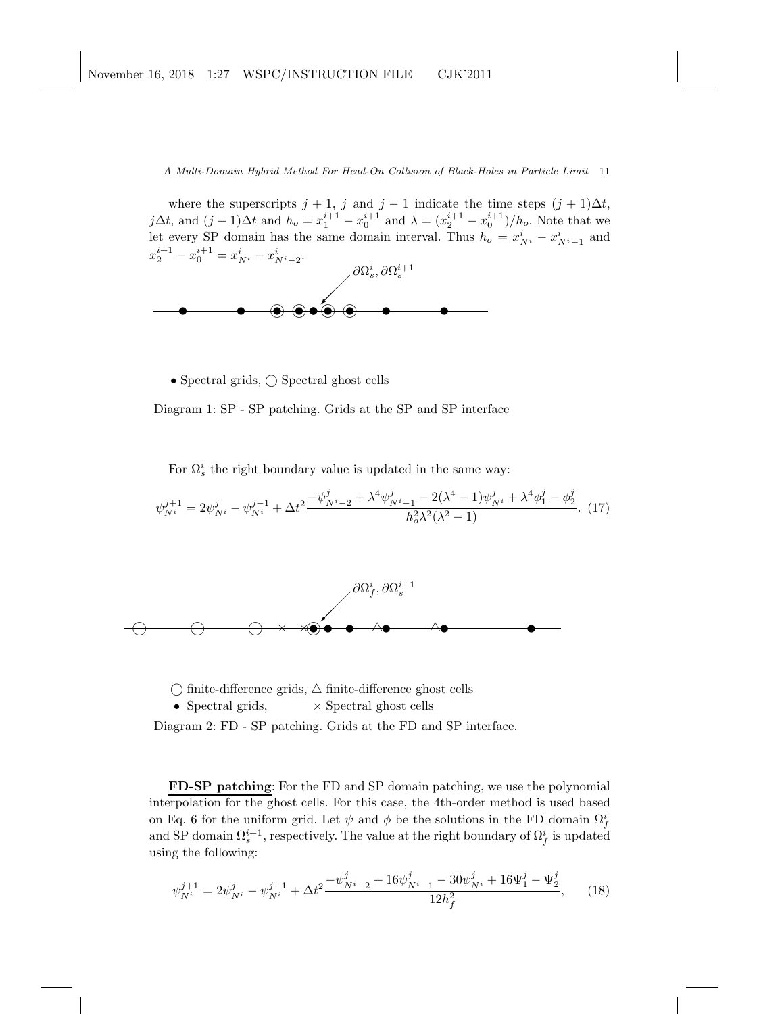where the superscripts  $j + 1$ ,  $j$  and  $j - 1$  indicate the time steps  $(j + 1)\Delta t$ , j∆t, and  $(j-1)\Delta t$  and  $h_o = x_1^{i+1} - x_0^{i+1}$  and  $\lambda = (x_2^{i+1} - x_0^{i+1})/h_o$ . Note that we let every SP domain has the same domain interval. Thus  $h_o = x_{N^i}^i - x_{N^i-1}^i$  and  $x_2^{i+1} - x_0^{i+1} = x_{N^i}^i - x_{N^i-2}^i$ . ∕ ✠ ✉ ✉ ✉ ✉ ✉ ✉ ✉ ✉ ✉ ✐ ✐ ✐ ✐  $\partial \Omega_s^i, \partial \Omega_s^{i+1}$ 

 $\bullet$  Spectral grids,  $\bigcirc$  Spectral ghost cells

Diagram 1: SP - SP patching. Grids at the SP and SP interface

For  $\Omega_s^i$  the right boundary value is updated in the same way:

$$
\psi_{N^{i}}^{j+1} = 2\psi_{N^{i}}^{j} - \psi_{N^{i}}^{j-1} + \Delta t^{2} \frac{-\psi_{N^{i}-2}^{j} + \lambda^{4} \psi_{N^{i}-1}^{j} - 2(\lambda^{4} - 1)\psi_{N^{i}}^{j} + \lambda^{4} \phi_{1}^{j} - \phi_{2}^{j}}{h_{o}^{2} \lambda^{2} (\lambda^{2} - 1)}.
$$
 (17)



 $\bigcirc$  finite-difference grids,  $\bigtriangleup$  finite-difference ghost cells<br>
■ Spectral grids,  $\times$  Spectral ghost cells

 $\times$  Spectral ghost cells

Diagram 2: FD - SP patching. Grids at the FD and SP interface.

FD-SP patching: For the FD and SP domain patching, we use the polynomial interpolation for the ghost cells. For this case, the 4th-order method is used based on Eq. 6 for the uniform grid. Let  $\psi$  and  $\phi$  be the solutions in the FD domain  $\Omega_f^i$ and SP domain  $\Omega_s^{i+1}$ , respectively. The value at the right boundary of  $\Omega_f^i$  is updated using the following:

$$
\psi_{N^{i}}^{j+1} = 2\psi_{N^{i}}^{j} - \psi_{N^{i}}^{j-1} + \Delta t^{2} \frac{-\psi_{N^{i}-2}^{j} + 16\psi_{N^{i}-1}^{j} - 30\psi_{N^{i}}^{j} + 16\Psi_{1}^{j} - \Psi_{2}^{j}}{12h_{f}^{2}},
$$
 (18)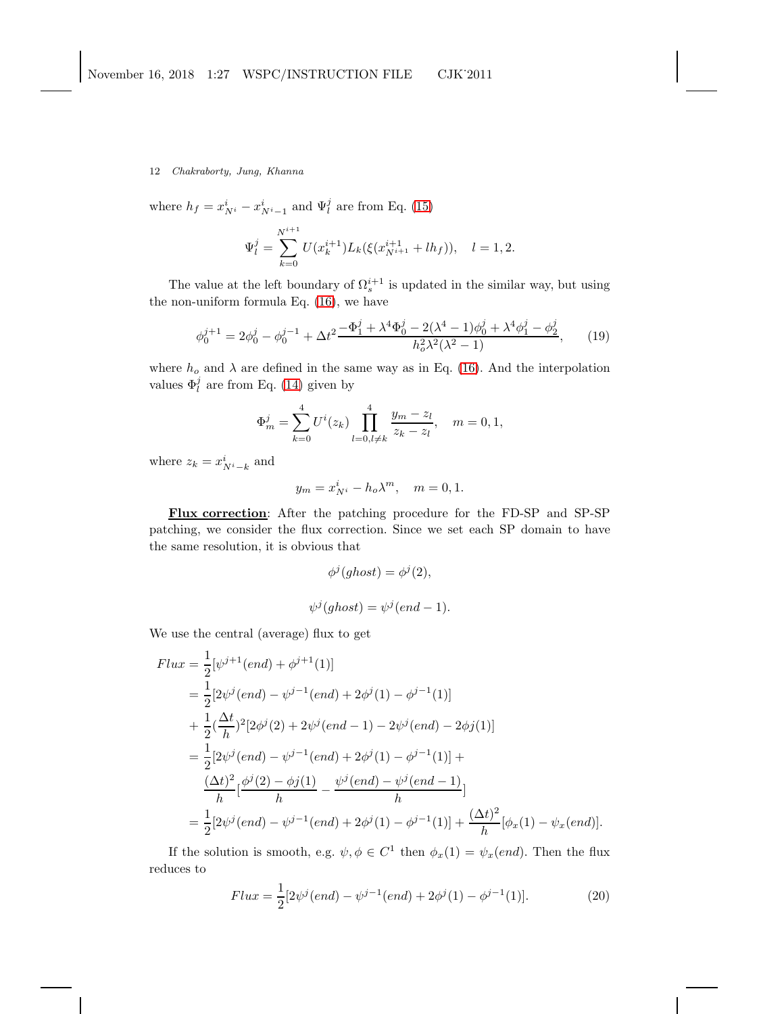where  $h_f = x_{N^i}^i - x_{N^i-1}^i$  and  $\Psi_l^j$  are from Eq. [\(15\)](#page-9-0)

$$
\Psi_l^j = \sum_{k=0}^{N^{i+1}} U(x_k^{i+1}) L_k(\xi(x_{N^{i+1}}^{i+1} + lh_f)), \quad l = 1, 2.
$$

The value at the left boundary of  $\Omega_s^{i+1}$  is updated in the similar way, but using the non-uniform formula Eq. [\(16\)](#page-9-1), we have

$$
\phi_0^{j+1} = 2\phi_0^j - \phi_0^{j-1} + \Delta t^2 \frac{-\Phi_1^j + \lambda^4 \Phi_0^j - 2(\lambda^4 - 1)\phi_0^j + \lambda^4 \phi_1^j - \phi_2^j}{h_o^2 \lambda^2 (\lambda^2 - 1)},
$$
(19)

where  $h_o$  and  $\lambda$  are defined in the same way as in Eq. [\(16\)](#page-9-1). And the interpolation values  $\Phi_l^j$  are from Eq. [\(14\)](#page-9-2) given by

$$
\Phi_m^j = \sum_{k=0}^4 U^i(z_k) \prod_{l=0, l \neq k}^4 \frac{y_m - z_l}{z_k - z_l}, \quad m = 0, 1,
$$

where  $z_k = x_{N^i - k}^i$  and

$$
y_m = x_{N^i}^i - h_o \lambda^m, \quad m = 0, 1.
$$

Flux correction: After the patching procedure for the FD-SP and SP-SP patching, we consider the flux correction. Since we set each SP domain to have the same resolution, it is obvious that

$$
\phi^j(ghost) = \phi^j(2),
$$
  

$$
\psi^j(ghost) = \psi^j(end - 1).
$$

We use the central (average) flux to get

$$
Flux = \frac{1}{2} [\psi^{j+1}(end) + \phi^{j+1}(1)]
$$
  
=  $\frac{1}{2} [2\psi^j (end) - \psi^{j-1}(end) + 2\phi^j (1) - \phi^{j-1}(1)]$   
+  $\frac{1}{2} (\frac{\Delta t}{h})^2 [2\phi^j (2) + 2\psi^j (end - 1) - 2\psi^j (end) - 2\phi^j (1)]$   
=  $\frac{1}{2} [2\psi^j (end) - \psi^{j-1}(end) + 2\phi^j (1) - \phi^{j-1}(1)] +$   
 $\frac{(\Delta t)^2}{h} [\frac{\phi^j (2) - \phi^j (1)}{h} - \frac{\psi^j (end) - \psi^j (end - 1)}{h}]$   
=  $\frac{1}{2} [2\psi^j (end) - \psi^{j-1}(end) + 2\phi^j (1) - \phi^{j-1}(1)] + \frac{(\Delta t)^2}{h} [\phi_x (1) - \psi_x (end)].$ 

If the solution is smooth, e.g.  $\psi, \phi \in C^1$  then  $\phi_x(1) = \psi_x(end)$ . Then the flux reduces to

$$
Flux = \frac{1}{2} [2\psi^{j}(end) - \psi^{j-1}(end) + 2\phi^{j}(1) - \phi^{j-1}(1)].
$$
\n(20)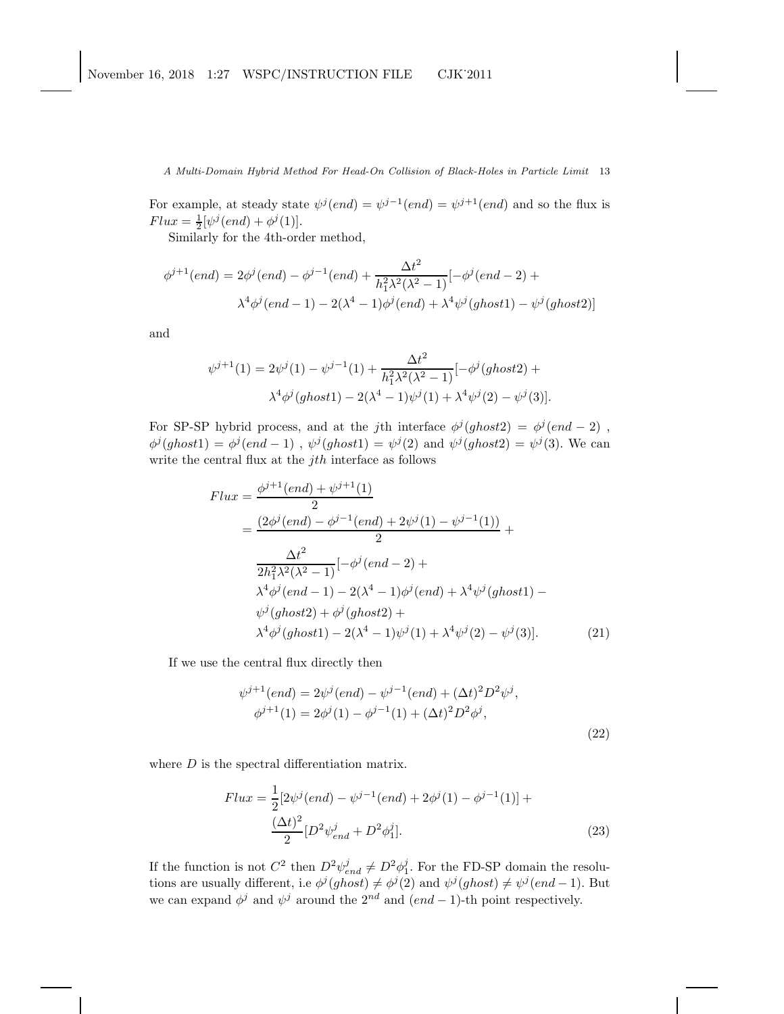For example, at steady state  $\psi^{j}(end) = \psi^{j-1}(end) = \psi^{j+1}(end)$  and so the flux is  $Flux = \frac{1}{2} [\psi^{j}(end) + \phi^{j}(1)].$ 

Similarly for the 4th-order method,

$$
\phi^{j+1}(end) = 2\phi^j(end) - \phi^{j-1}(end) + \frac{\Delta t^2}{h_1^2 \lambda^2 (\lambda^2 - 1)}[-\phi^j(end - 2) + \lambda^4 \phi^j(end - 1) - 2(\lambda^4 - 1)\phi^j(end) + \lambda^4 \psi^j(ghost1) - \psi^j(ghost2)]
$$

and

$$
\psi^{j+1}(1) = 2\psi^{j}(1) - \psi^{j-1}(1) + \frac{\Delta t^{2}}{h_{1}^{2}\lambda^{2}(\lambda^{2} - 1)}[-\phi^{j}(ghost2) + \lambda^{4}\phi^{j}(ghost1) - 2(\lambda^{4} - 1)\psi^{j}(1) + \lambda^{4}\psi^{j}(2) - \psi^{j}(3)].
$$

For SP-SP hybrid process, and at the jth interface  $\phi^j(ghost2) = \phi^j(end - 2)$ ,  $\phi^j(ghost1) = \phi^j(end-1)$ ,  $\psi^j(ghost1) = \psi^j(2)$  and  $\psi^j(ghost2) = \psi^j(3)$ . We can write the central flux at the  $jth$  interface as follows

$$
Flux = \frac{\phi^{j+1}(end) + \psi^{j+1}(1)}{2}
$$
  
= 
$$
\frac{(2\phi^j(end) - \phi^{j-1}(end) + 2\psi^j(1) - \psi^{j-1}(1))}{2h_1^2\lambda^2(\lambda^2 - 1)}[-\phi^j(end - 2) +
$$
  

$$
\lambda^4\phi^j(end - 1) - 2(\lambda^4 - 1)\phi^j(end) + \lambda^4\psi^j(ghost1) -
$$
  

$$
\psi^j(ghost2) + \phi^j(ghost2) +
$$
  

$$
\lambda^4\phi^j(ghost1) - 2(\lambda^4 - 1)\psi^j(1) + \lambda^4\psi^j(2) - \psi^j(3)].
$$
 (21)

If we use the central flux directly then

$$
\psi^{j+1}(end) = 2\psi^j(end) - \psi^{j-1}(end) + (\Delta t)^2 D^2 \psi^j,
$$
  
\n
$$
\phi^{j+1}(1) = 2\phi^j(1) - \phi^{j-1}(1) + (\Delta t)^2 D^2 \phi^j,
$$
\n(22)

where  $D$  is the spectral differentiation matrix.

$$
Flux = \frac{1}{2} [2\psi^j (end) - \psi^{j-1} (end) + 2\phi^j (1) - \phi^{j-1} (1)] +
$$
  

$$
\frac{(\Delta t)^2}{2} [D^2 \psi^j_{end} + D^2 \phi^j_1].
$$
 (23)

If the function is not  $C^2$  then  $D^2 \psi_{end}^j \neq D^2 \phi_1^j$ . For the FD-SP domain the resolutions are usually different, i.e  $\phi^j(ghost) \neq \phi^j(2)$  and  $\psi^j(ghost) \neq \psi^j(end-1)$ . But we can expand  $\phi^j$  and  $\psi^j$  around the  $2^{nd}$  and  $(end-1)$ -th point respectively.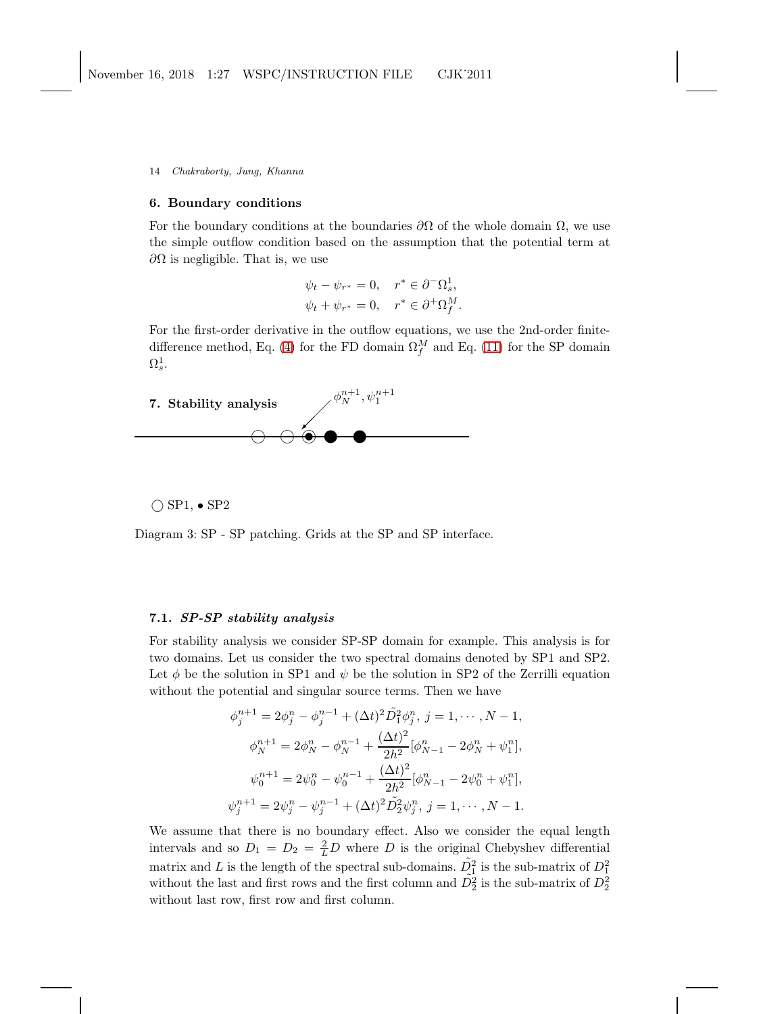## 6. Boundary conditions

For the boundary conditions at the boundaries  $\partial\Omega$  of the whole domain  $\Omega$ , we use the simple outflow condition based on the assumption that the potential term at  $\partial Ω$  is negligible. That is, we use

$$
\psi_t - \psi_{r^*} = 0, \quad r^* \in \partial^-\Omega^1_s,
$$
  

$$
\psi_t + \psi_{r^*} = 0, \quad r^* \in \partial^+\Omega_f^M.
$$

For the first-order derivative in the outflow equations, we use the 2nd-order finite-difference method, Eq. [\(4\)](#page-3-0) for the FD domain  $\Omega_f^M$  and Eq. [\(11\)](#page-8-1) for the SP domain  $\Omega_s^1.$ 



 $\bigcirc$  SP1,  $\bullet$  SP2

Diagram 3: SP - SP patching. Grids at the SP and SP interface.

## 7.1. SP-SP stability analysis

For stability analysis we consider SP-SP domain for example. This analysis is for two domains. Let us consider the two spectral domains denoted by SP1 and SP2. Let  $\phi$  be the solution in SP1 and  $\psi$  be the solution in SP2 of the Zerrilli equation without the potential and singular source terms. Then we have

$$
\phi_j^{n+1} = 2\phi_j^n - \phi_j^{n-1} + (\Delta t)^2 \tilde{D}_1^2 \phi_j^n, \ j = 1, \cdots, N-1,
$$
  

$$
\phi_N^{n+1} = 2\phi_N^n - \phi_N^{n-1} + \frac{(\Delta t)^2}{2h^2} [\phi_{N-1}^n - 2\phi_N^n + \psi_1^n],
$$
  

$$
\psi_0^{n+1} = 2\psi_0^n - \psi_0^{n-1} + \frac{(\Delta t)^2}{2h^2} [\phi_{N-1}^n - 2\psi_0^n + \psi_1^n],
$$
  

$$
\psi_j^{n+1} = 2\psi_j^n - \psi_j^{n-1} + (\Delta t)^2 \tilde{D}_2^2 \psi_j^n, \ j = 1, \cdots, N-1.
$$

We assume that there is no boundary effect. Also we consider the equal length intervals and so  $D_1 = D_2 = \frac{2}{L}D$  where D is the original Chebyshev differential matrix and L is the length of the spectral sub-domains.  $\tilde{D}_1^2$  is the sub-matrix of  $D_1^2$ without the last and first rows and the first column and  $\tilde{D}_2^2$  is the sub-matrix of  $D_2^2$ without last row, first row and first column.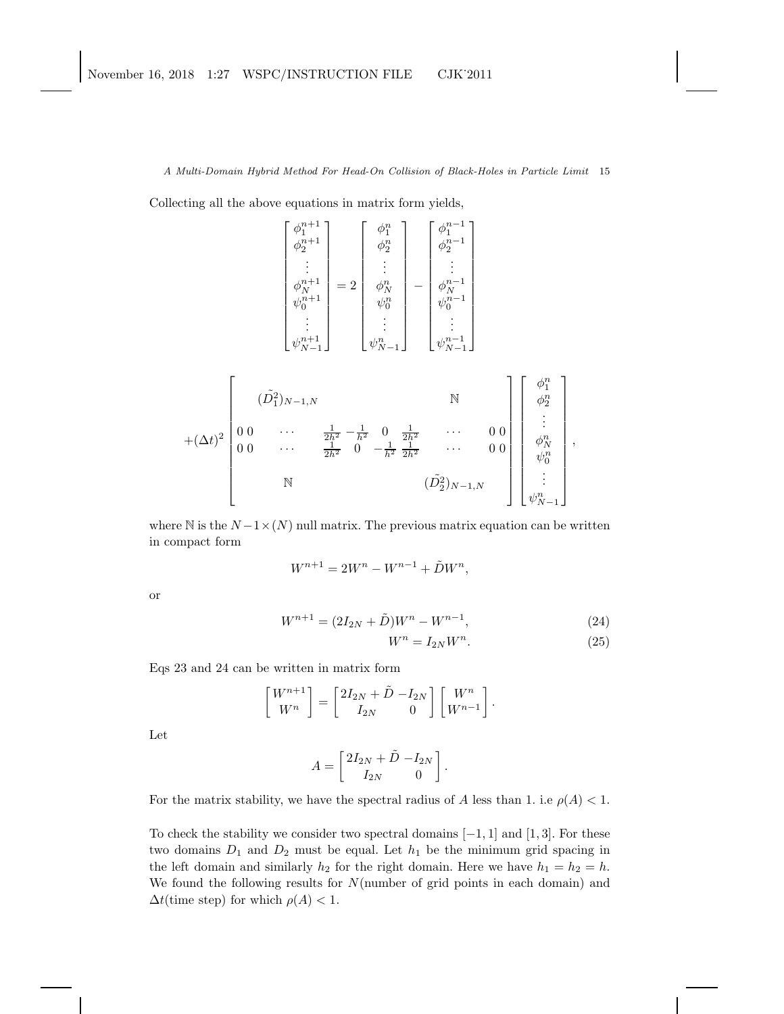Collecting all the above equations in matrix form yields,

$$
\begin{bmatrix}\n\phi_1^{n+1} \\
\phi_2^{n+1} \\
\vdots \\
\phi_N^{n+1} \\
\psi_0^{n+1}\n\end{bmatrix} = 2 \begin{bmatrix}\n\phi_1^n \\
\phi_2^n \\
\vdots \\
\phi_N^n \\
\psi_0^n\n\end{bmatrix} - \begin{bmatrix}\n\phi_1^{n-1} \\
\phi_2^{n-1} \\
\vdots \\
\phi_N^{n-1} \\
\psi_0^{n-1} \\
\vdots \\
\psi_{N-1}^{n-1}\n\end{bmatrix}
$$
\n
$$
+ (\Delta t)^2 \begin{bmatrix}\n(\tilde{D}_1^2)_{N-1,N} & \mathbb{N} \\
0 & \cdots & \frac{1}{2h^2} - \frac{1}{h^2} & 0 & \frac{1}{2h^2} & \cdots & 0 \\
0 & \cdots & \frac{1}{2h^2} - \frac{1}{h^2} & 0 & \frac{1}{2h^2} & \cdots & 0 \\
0 & \cdots & \frac{1}{2h^2} & 0 & -\frac{1}{h^2} & \frac{1}{2h^2} & \cdots & 0 \\
0 & \cdots & \frac{1}{2h^2} & 0 & -\frac{1}{h^2} & \frac{1}{2h^2} & \cdots & 0 \\
0 & \cdots & \frac{1}{2h^2} & 0 & -\frac{1}{h^2} & \frac{1}{2h^2} & \cdots & 0 \\
0 & \ddots & \ddots & \ddots & \ddots & \vdots \\
0 & \ddots & \ddots & \ddots & \vdots \\
0 & \ddots & \ddots & \ddots & \vdots \\
0 & \ddots & \ddots & \ddots & \vdots \\
0 & \ddots & \ddots & \ddots & \vdots \\
0 & \ddots & \ddots & \ddots & \vdots \\
0 & \ddots & \ddots & \ddots & \vdots \\
0 & \ddots & \ddots & \ddots & \vdots \\
0 & \ddots & \ddots & \ddots & \vdots \\
0 & \ddots & \ddots & \ddots & \vdots \\
0 & \ddots & \ddots & \ddots & \vdots \\
0 & \ddots & \ddots & \ddots & \vdots \\
0 & \ddots & \ddots & \ddots & \vdots \\
0 & \ddots & \ddots & \ddots & \ddots \\
0 & \ddots & \ddots & \ddots & \ddots & \vdots \\
0 & \ddots & \ddots & \ddots & \ddots & \vd
$$

where N is the  $N-1\times(N)$  null matrix. The previous matrix equation can be written in compact form

$$
W^{n+1} = 2W^n - W^{n-1} + \tilde{D}W^n,
$$

or

$$
W^{n+1} = (2I_{2N} + \tilde{D})W^n - W^{n-1},
$$
\n(24)

$$
W^n = I_{2N}W^n.
$$
\n<sup>(25)</sup>

Eqs 23 and 24 can be written in matrix form

$$
\begin{bmatrix} W^{n+1} \\ W^n \end{bmatrix} = \begin{bmatrix} 2I_{2N} + \tilde{D} & -I_{2N} \\ I_{2N} & 0 \end{bmatrix} \begin{bmatrix} W^n \\ W^{n-1} \end{bmatrix}.
$$

Let

$$
A = \begin{bmatrix} 2I_{2N} + \tilde{D} & -I_{2N} \\ I_{2N} & 0 \end{bmatrix}.
$$

For the matrix stability, we have the spectral radius of A less than 1. i.e  $\rho(A) < 1$ .

To check the stability we consider two spectral domains  $[-1, 1]$  and  $[1, 3]$ . For these two domains  $D_1$  and  $D_2$  must be equal. Let  $h_1$  be the minimum grid spacing in the left domain and similarly  $h_2$  for the right domain. Here we have  $h_1 = h_2 = h$ . We found the following results for  $N$ (number of grid points in each domain) and  $\Delta t$ (time step) for which  $\rho(A) < 1$ .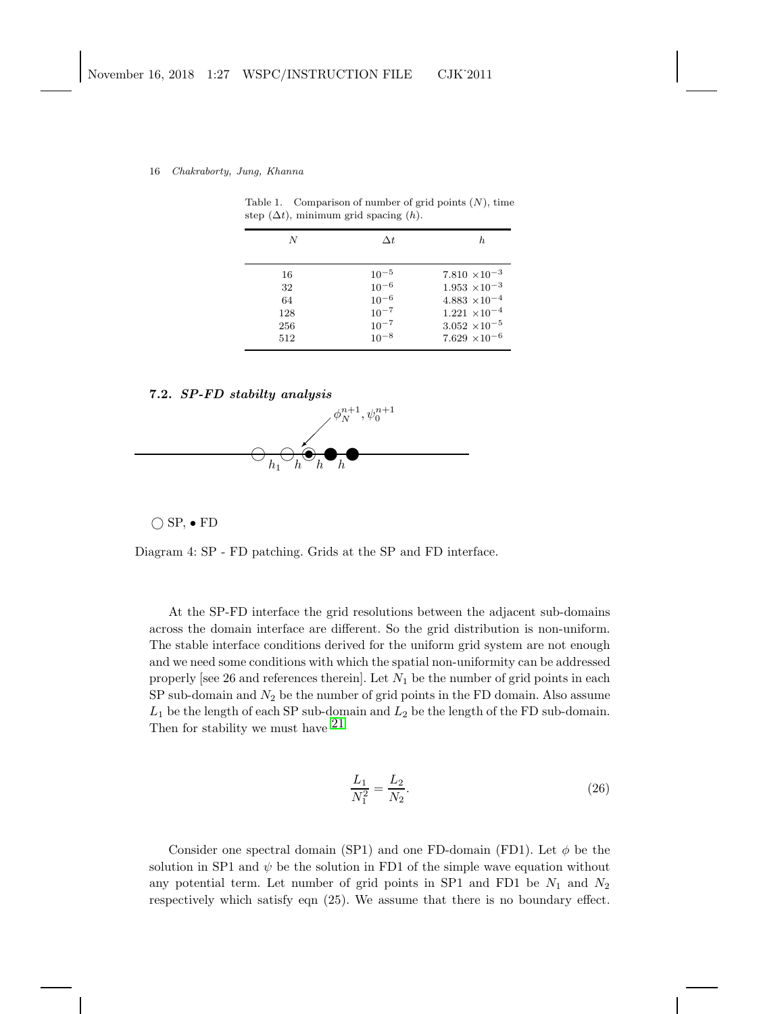Table 1. Comparison of number of grid points  $(N)$ , time step  $(\Delta t)$ , minimum grid spacing  $(h)$ .

| N   | $\Delta t$ | h.                     |
|-----|------------|------------------------|
| 16  | $10^{-5}$  | $7.810 \times 10^{-3}$ |
| 32  | $10^{-6}$  | $1.953 \times 10^{-3}$ |
| 64  | $10^{-6}$  | $4.883 \times 10^{-4}$ |
| 128 | $10^{-7}$  | $1.221 \times 10^{-4}$ |
| 256 | $10^{-7}$  | $3.052 \times 10^{-5}$ |
| 512 | $10^{-8}$  | $7.629 \times 10^{-6}$ |

## 7.2. SP-FD stabilty analysis



 $\bigcirc$  SP,  $\bullet$  FD

Diagram 4: SP - FD patching. Grids at the SP and FD interface.

At the SP-FD interface the grid resolutions between the adjacent sub-domains across the domain interface are different. So the grid distribution is non-uniform. The stable interface conditions derived for the uniform grid system are not enough and we need some conditions with which the spatial non-uniformity can be addressed properly [see 26 and references therein]. Let  $N_1$  be the number of grid points in each  $SP$  sub-domain and  $N_2$  be the number of grid points in the FD domain. Also assume  $L_1$  be the length of each SP sub-domain and  $L_2$  be the length of the FD sub-domain. Then for stability we must have  $21$ 

$$
\frac{L_1}{N_1^2} = \frac{L_2}{N_2}.\tag{26}
$$

Consider one spectral domain (SP1) and one FD-domain (FD1). Let  $\phi$  be the solution in SP1 and  $\psi$  be the solution in FD1 of the simple wave equation without any potential term. Let number of grid points in SP1 and FD1 be  $N_1$  and  $N_2$ respectively which satisfy eqn (25). We assume that there is no boundary effect.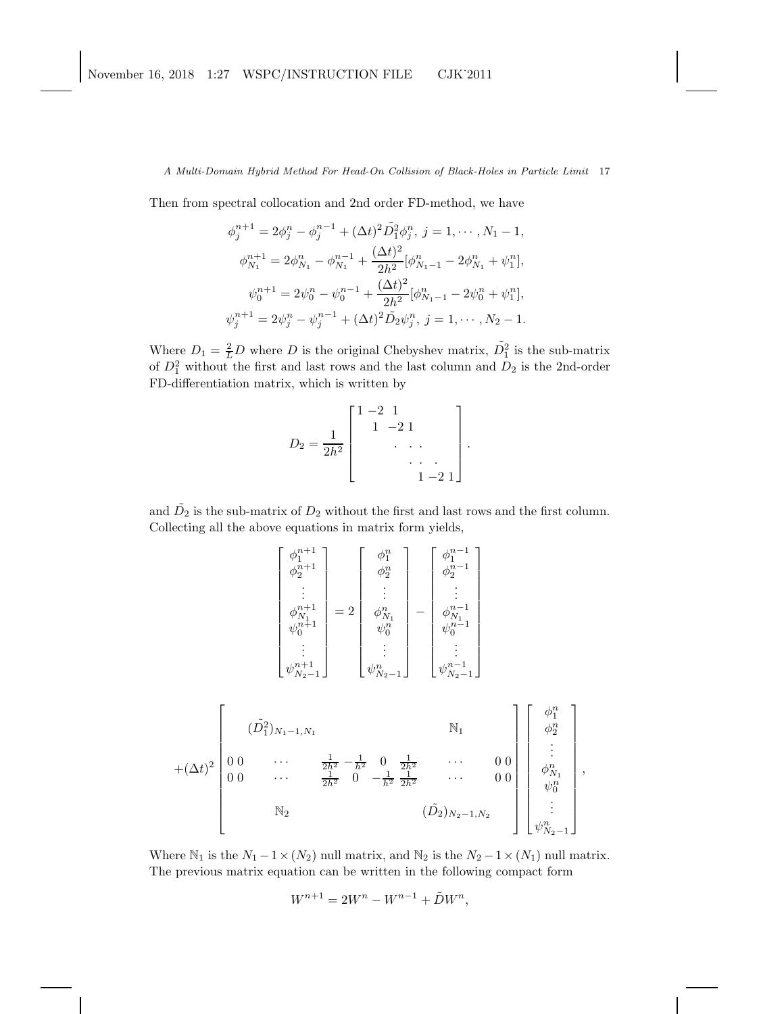Then from spectral collocation and 2nd order FD-method, we have

$$
\phi_j^{n+1} = 2\phi_j^n - \phi_j^{n-1} + (\Delta t)^2 \tilde{D}_1^2 \phi_j^n, \ j = 1, \cdots, N_1 - 1,
$$
  

$$
\phi_{N_1}^{n+1} = 2\phi_{N_1}^n - \phi_{N_1}^{n-1} + \frac{(\Delta t)^2}{2h^2} [\phi_{N_1-1}^n - 2\phi_{N_1}^n + \psi_1^n],
$$
  

$$
\psi_0^{n+1} = 2\psi_0^n - \psi_0^{n-1} + \frac{(\Delta t)^2}{2h^2} [\phi_{N_1-1}^n - 2\psi_0^n + \psi_1^n],
$$
  

$$
\psi_j^{n+1} = 2\psi_j^n - \psi_j^{n-1} + (\Delta t)^2 \tilde{D}_2 \psi_j^n, \ j = 1, \cdots, N_2 - 1.
$$

Where  $D_1 = \frac{2}{L}D$  where D is the original Chebyshev matrix,  $\tilde{D}_1^2$  is the sub-matrix of  $D_1^2$  without the first and last rows and the last column and  $D_2$  is the 2nd-order FD-differentiation matrix, which is written by

$$
D_2 = \frac{1}{2h^2} \begin{bmatrix} 1 & -2 & 1 & & & \\ & 1 & -2 & 1 & & \\ & & \ddots & \ddots & & \\ & & & & 1 & -2 & 1 \end{bmatrix}.
$$

and  $\tilde{D_2}$  is the sub-matrix of  $D_2$  without the first and last rows and the first column. Collecting all the above equations in matrix form yields,

$$
\begin{bmatrix}\n\phi_1^{n+1} \\
\phi_2^{n+1} \\
\vdots \\
\phi_{N_1}^{n+1} \\
\psi_0^{n+1} \\
\vdots \\
\psi_{N_2-1}^{n+1}\n\end{bmatrix} = 2 \begin{bmatrix}\n\phi_1^n \\
\phi_2^n \\
\vdots \\
\phi_{N_1}^n \\
\psi_0^n \\
\vdots \\
\psi_{N_2-1}^n\n\end{bmatrix} - \begin{bmatrix}\n\phi_1^{n-1} \\
\phi_2^{n-1} \\
\vdots \\
\phi_{N_1}^{n-1} \\
\psi_0^{n-1} \\
\vdots \\
\psi_{N_2-1}^{n-1}\n\end{bmatrix}
$$
\n
$$
(\tilde{D}_1^2)_{N_1-1,N_1}
$$
\n
$$
\mathbb{N}_1
$$

 $\overline{1}$ 

 $\phi_1^n$ 

l.

 $\overline{1}$ 

$$
+(\Delta t)^2\begin{bmatrix} (D_1^2)_{N_1-1,N_1} & \mathbb{N}_1 \\ 0 & \cdots & \frac{1}{2h^2} - \frac{1}{h^2} & 0 & \frac{1}{2h^2} & \cdots & 0 & 0 \\ 0 & \cdots & \frac{1}{2h^2} & 0 & -\frac{1}{h^2} & \frac{1}{2h^2} & \cdots & 0 & 0 \\ & & \mathbb{N}_2 & & & & & & & \end{bmatrix}\begin{bmatrix} \phi_2^n \\ \vdots \\ \phi_{N_1}^n \\ \phi_N^n \\ \vdots \\ \phi_N^n \\ \vdots \\ \phi_{N_2-1}^n \end{bmatrix},
$$

Where  $\mathbb{N}_1$  is the  $N_1 - 1 \times (N_2)$  null matrix, and  $\mathbb{N}_2$  is the  $N_2 - 1 \times (N_1)$  null matrix. The previous matrix equation can be written in the following compact form

$$
W^{n+1} = 2W^n - W^{n-1} + \tilde{D}W^n,
$$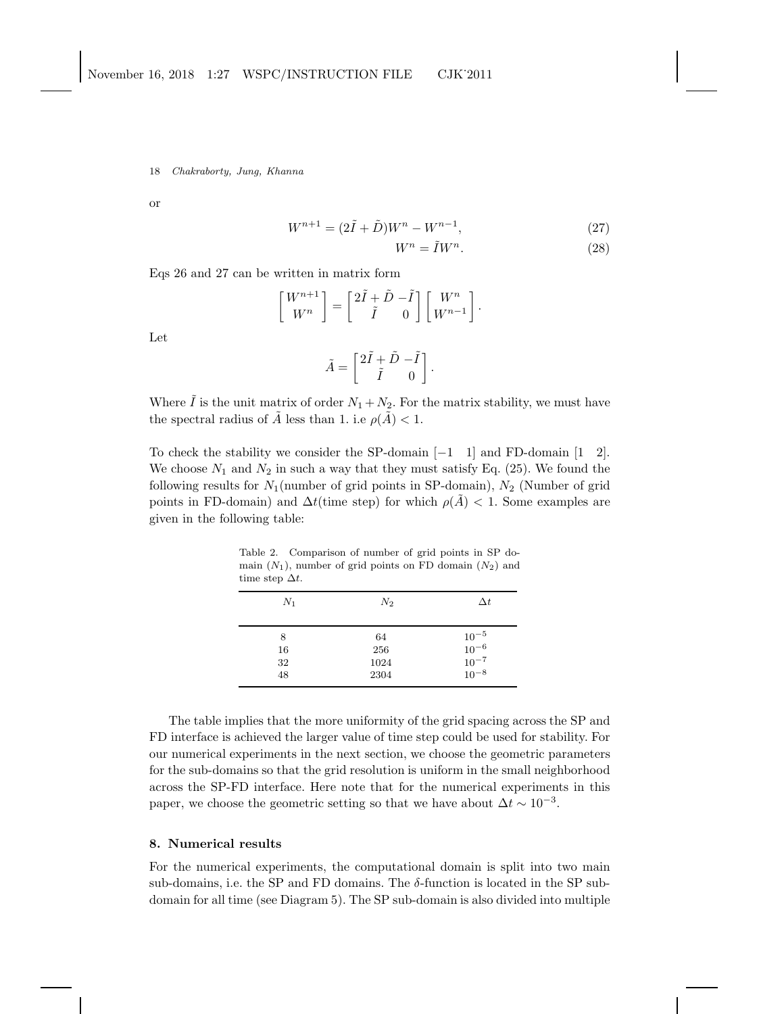or

$$
W^{n+1} = (2\tilde{I} + \tilde{D})W^n - W^{n-1},
$$
\n(27)

$$
W^n = \tilde{I}W^n. \tag{28}
$$

Eqs 26 and 27 can be written in matrix form

$$
\begin{bmatrix} W^{n+1} \\ W^n \end{bmatrix} = \begin{bmatrix} 2\tilde{I} + \tilde{D} - \tilde{I} \\ \tilde{I} & 0 \end{bmatrix} \begin{bmatrix} W^n \\ W^{n-1} \end{bmatrix}.
$$

Let

$$
\tilde{A} = \begin{bmatrix} 2\tilde{I} + \tilde{D} - \tilde{I} \\ \tilde{I} & 0 \end{bmatrix}.
$$

Where  $\tilde{I}$  is the unit matrix of order  $N_1 + N_2$ . For the matrix stability, we must have the spectral radius of A less than 1. i.e  $\rho(A) < 1$ .

To check the stability we consider the SP-domain  $[-1 \ 1]$  and FD-domain  $[1 \ 2]$ . We choose  $N_1$  and  $N_2$  in such a way that they must satisfy Eq. (25). We found the following results for  $N_1$ (number of grid points in SP-domain),  $N_2$  (Number of grid points in FD-domain) and  $\Delta t$ (time step) for which  $\rho(\tilde{A}) < 1$ . Some examples are given in the following table:

Table 2. Comparison of number of grid points in SP domain  $(N_1)$ , number of grid points on FD domain  $(N_2)$  and time step  $\Delta t$ .

| $N_1$               | $N_2$                     | $\Delta t$                                                              |
|---------------------|---------------------------|-------------------------------------------------------------------------|
| 8<br>16<br>32<br>48 | 64<br>256<br>1024<br>2304 | $\begin{array}{r} 10^{-5} \\ 10^{-6} \\ 10^{-7} \\ 10^{-8} \end{array}$ |

The table implies that the more uniformity of the grid spacing across the SP and FD interface is achieved the larger value of time step could be used for stability. For our numerical experiments in the next section, we choose the geometric parameters for the sub-domains so that the grid resolution is uniform in the small neighborhood across the SP-FD interface. Here note that for the numerical experiments in this paper, we choose the geometric setting so that we have about  $\Delta t \sim 10^{-3}$ .

# 8. Numerical results

For the numerical experiments, the computational domain is split into two main sub-domains, i.e. the SP and FD domains. The  $\delta$ -function is located in the SP subdomain for all time (see Diagram 5). The SP sub-domain is also divided into multiple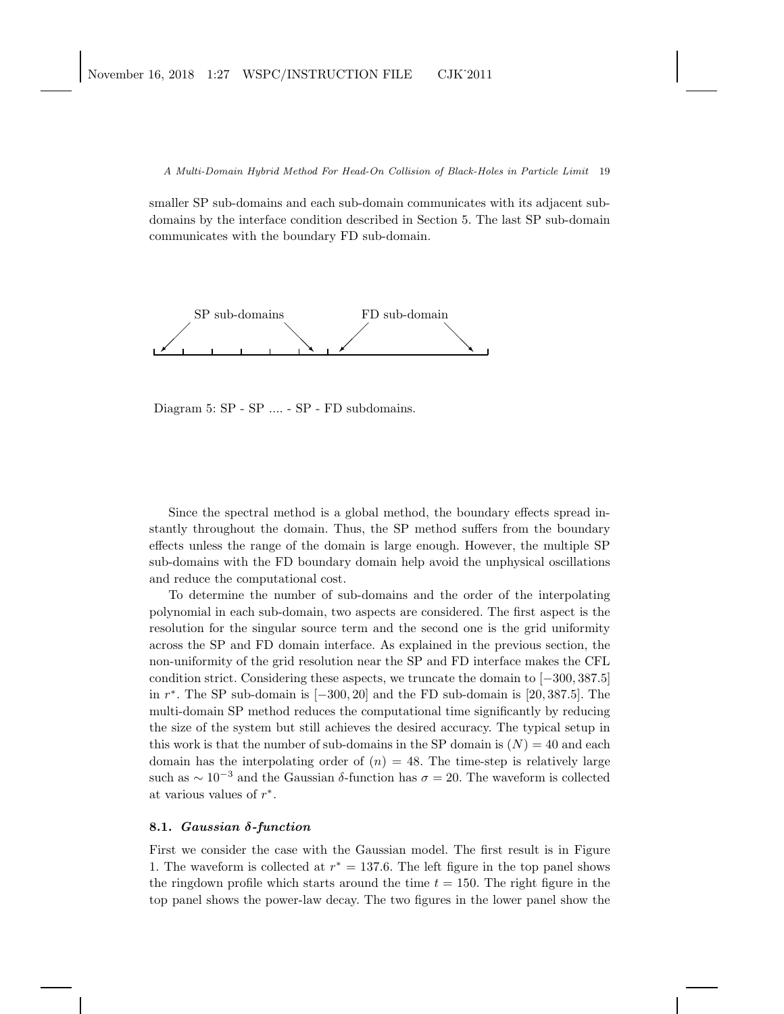smaller SP sub-domains and each sub-domain communicates with its adjacent subdomains by the interface condition described in Section 5. The last SP sub-domain communicates with the boundary FD sub-domain.



Diagram 5: SP - SP .... - SP - FD subdomains.

Since the spectral method is a global method, the boundary effects spread instantly throughout the domain. Thus, the SP method suffers from the boundary effects unless the range of the domain is large enough. However, the multiple SP sub-domains with the FD boundary domain help avoid the unphysical oscillations and reduce the computational cost.

To determine the number of sub-domains and the order of the interpolating polynomial in each sub-domain, two aspects are considered. The first aspect is the resolution for the singular source term and the second one is the grid uniformity across the SP and FD domain interface. As explained in the previous section, the non-uniformity of the grid resolution near the SP and FD interface makes the CFL condition strict. Considering these aspects, we truncate the domain to [−300, 387.5] in  $r^*$ . The SP sub-domain is  $[-300, 20]$  and the FD sub-domain is  $[20, 387.5]$ . The multi-domain SP method reduces the computational time significantly by reducing the size of the system but still achieves the desired accuracy. The typical setup in this work is that the number of sub-domains in the SP domain is  $(N) = 40$  and each domain has the interpolating order of  $(n) = 48$ . The time-step is relatively large such as  $\sim 10^{-3}$  and the Gaussian δ-function has  $\sigma = 20$ . The waveform is collected at various values of  $r^*$ .

### 8.1. Gaussian δ-function

First we consider the case with the Gaussian model. The first result is in Figure 1. The waveform is collected at  $r^* = 137.6$ . The left figure in the top panel shows the ringdown profile which starts around the time  $t = 150$ . The right figure in the top panel shows the power-law decay. The two figures in the lower panel show the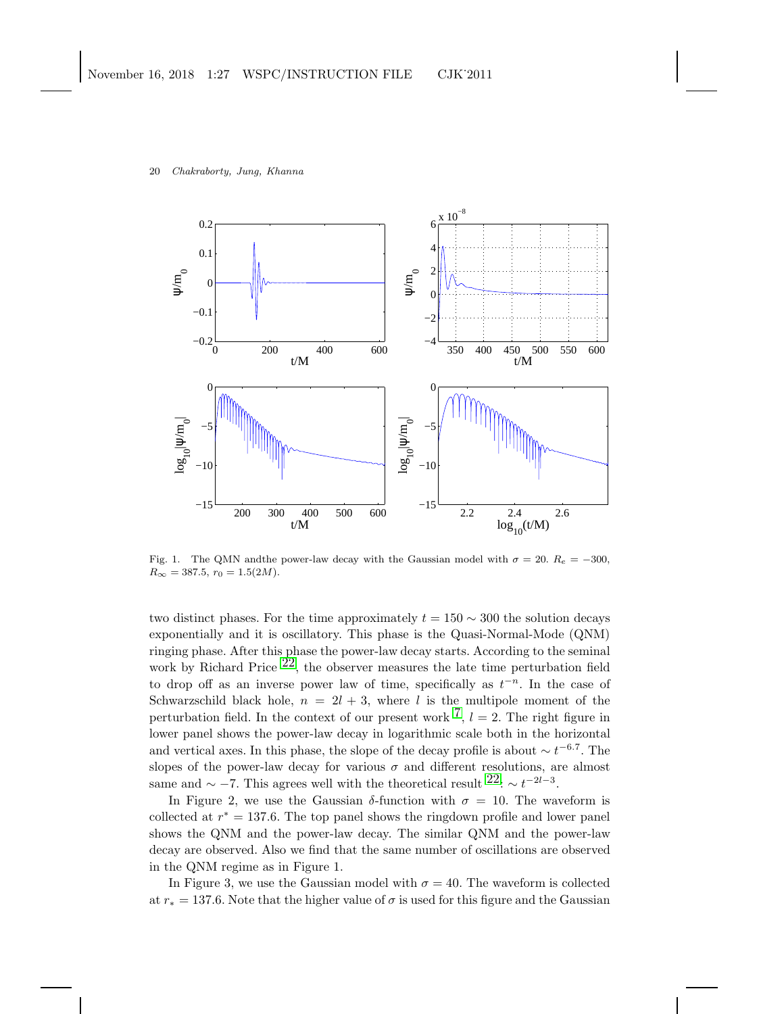

Fig. 1. The QMN and the power-law decay with the Gaussian model with  $\sigma = 20$ .  $R_e = -300$ ,  $R_{\infty} = 387.5, r_0 = 1.5(2M).$ 

two distinct phases. For the time approximately  $t = 150 \sim 300$  the solution decays exponentially and it is oscillatory. This phase is the Quasi-Normal-Mode (QNM) ringing phase. After this phase the power-law decay starts. According to the seminal work by Richard Price  $^{22}$ , the observer measures the late time perturbation field to drop off as an inverse power law of time, specifically as  $t^{-n}$ . In the case of Schwarzschild black hole,  $n = 2l + 3$ , where l is the multipole moment of the perturbation field. In the context of our present work  $\ell$ ,  $l = 2$ . The right figure in lower panel shows the power-law decay in logarithmic scale both in the horizontal and vertical axes. In this phase, the slope of the decay profile is about  $\sim t^{-6.7}$ . The slopes of the power-law decay for various  $\sigma$  and different resolutions, are almost same and  $\sim -7$ . This agrees well with the theoretical result  $2^2$ :  $\sim t^{-2l-3}$ .

In Figure 2, we use the Gaussian  $\delta$ -function with  $\sigma = 10$ . The waveform is collected at  $r^* = 137.6$ . The top panel shows the ringdown profile and lower panel shows the QNM and the power-law decay. The similar QNM and the power-law decay are observed. Also we find that the same number of oscillations are observed in the QNM regime as in Figure 1.

In Figure 3, we use the Gaussian model with  $\sigma = 40$ . The waveform is collected at  $r_* = 137.6$ . Note that the higher value of  $\sigma$  is used for this figure and the Gaussian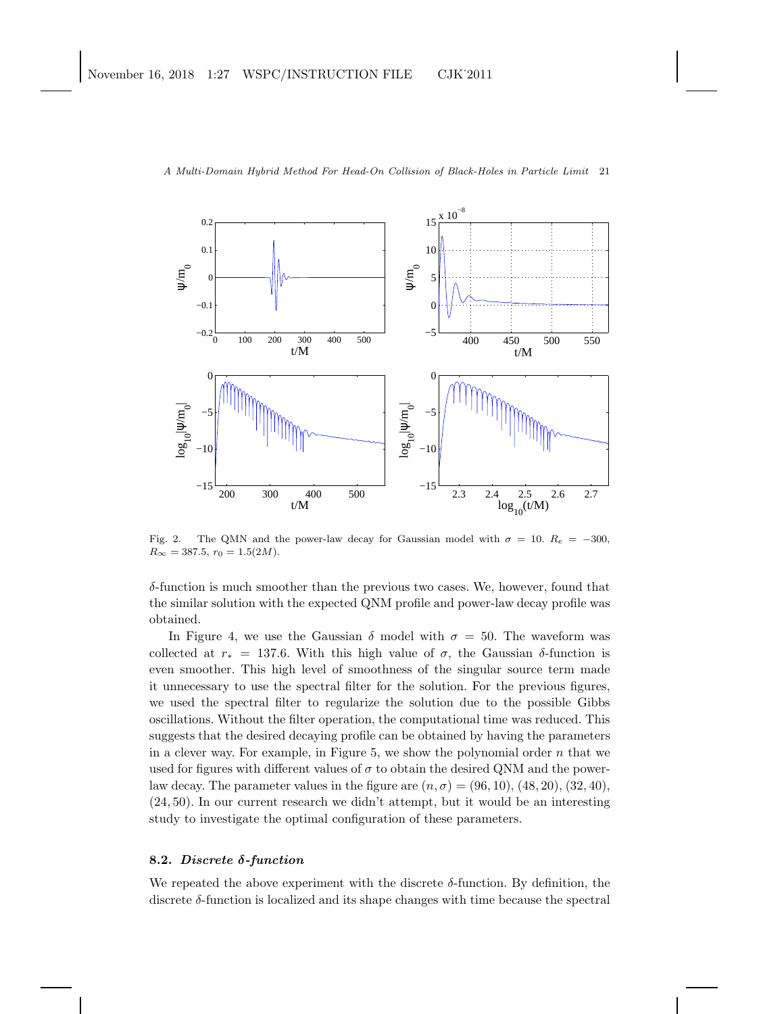

Fig. 2. The QMN and the power-law decay for Gaussian model with  $\sigma = 10$ .  $R_e = -300$ ,  $R_{\infty} = 387.5, r_0 = 1.5(2M).$ 

 $\delta$ -function is much smoother than the previous two cases. We, however, found that the similar solution with the expected QNM profile and power-law decay profile was obtained.

In Figure 4, we use the Gaussian  $\delta$  model with  $\sigma = 50$ . The waveform was collected at  $r_* = 137.6$ . With this high value of  $\sigma$ , the Gaussian  $\delta$ -function is even smoother. This high level of smoothness of the singular source term made it unnecessary to use the spectral filter for the solution. For the previous figures, we used the spectral filter to regularize the solution due to the possible Gibbs oscillations. Without the filter operation, the computational time was reduced. This suggests that the desired decaying profile can be obtained by having the parameters in a clever way. For example, in Figure 5, we show the polynomial order  $n$  that we used for figures with different values of  $\sigma$  to obtain the desired QNM and the powerlaw decay. The parameter values in the figure are  $(n, \sigma) = (96, 10), (48, 20), (32, 40),$ (24, 50). In our current research we didn't attempt, but it would be an interesting study to investigate the optimal configuration of these parameters.

## 8.2. Discrete δ-function

We repeated the above experiment with the discrete  $\delta$ -function. By definition, the discrete  $\delta$ -function is localized and its shape changes with time because the spectral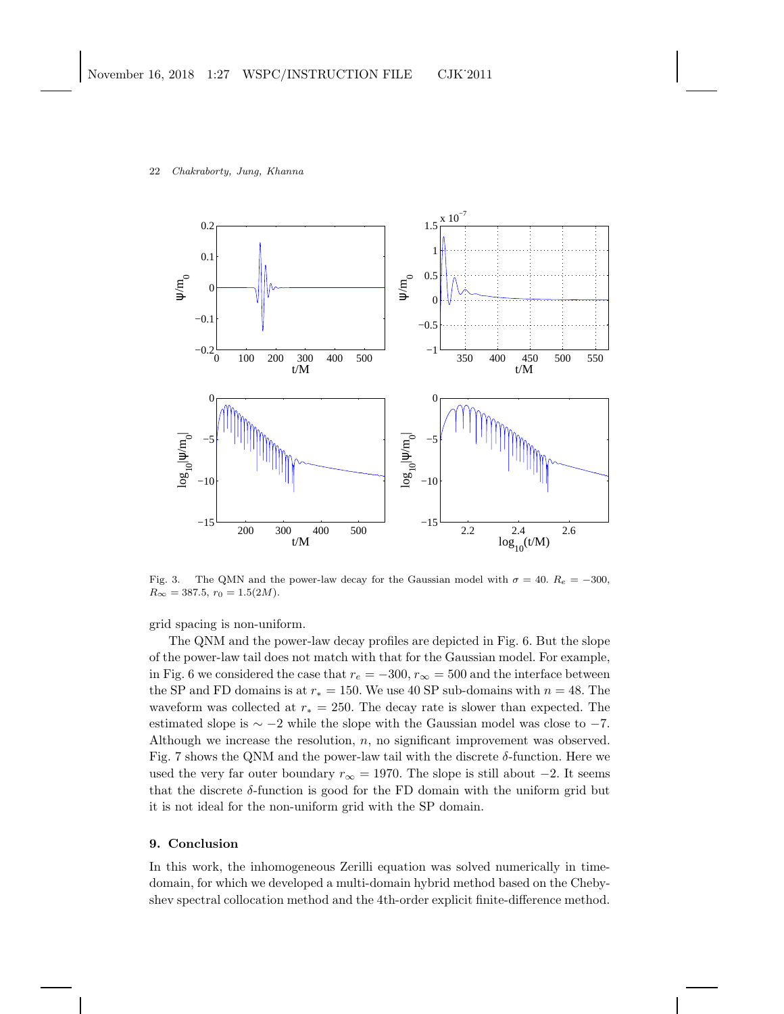

Fig. 3. The QMN and the power-law decay for the Gaussian model with  $\sigma = 40$ .  $R_e = -300$ ,  $R_{\infty} = 387.5, r_0 = 1.5(2M).$ 

grid spacing is non-uniform.

The QNM and the power-law decay profiles are depicted in Fig. 6. But the slope of the power-law tail does not match with that for the Gaussian model. For example, in Fig. 6 we considered the case that  $r_e = -300, r_\infty = 500$  and the interface between the SP and FD domains is at  $r_* = 150$ . We use 40 SP sub-domains with  $n = 48$ . The waveform was collected at  $r_* = 250$ . The decay rate is slower than expected. The estimated slope is  $\sim$  −2 while the slope with the Gaussian model was close to −7. Although we increase the resolution,  $n$ , no significant improvement was observed. Fig. 7 shows the QNM and the power-law tail with the discrete  $\delta$ -function. Here we used the very far outer boundary  $r_{\infty} = 1970$ . The slope is still about  $-2$ . It seems that the discrete  $\delta$ -function is good for the FD domain with the uniform grid but it is not ideal for the non-uniform grid with the SP domain.

## 9. Conclusion

In this work, the inhomogeneous Zerilli equation was solved numerically in timedomain, for which we developed a multi-domain hybrid method based on the Chebyshev spectral collocation method and the 4th-order explicit finite-difference method.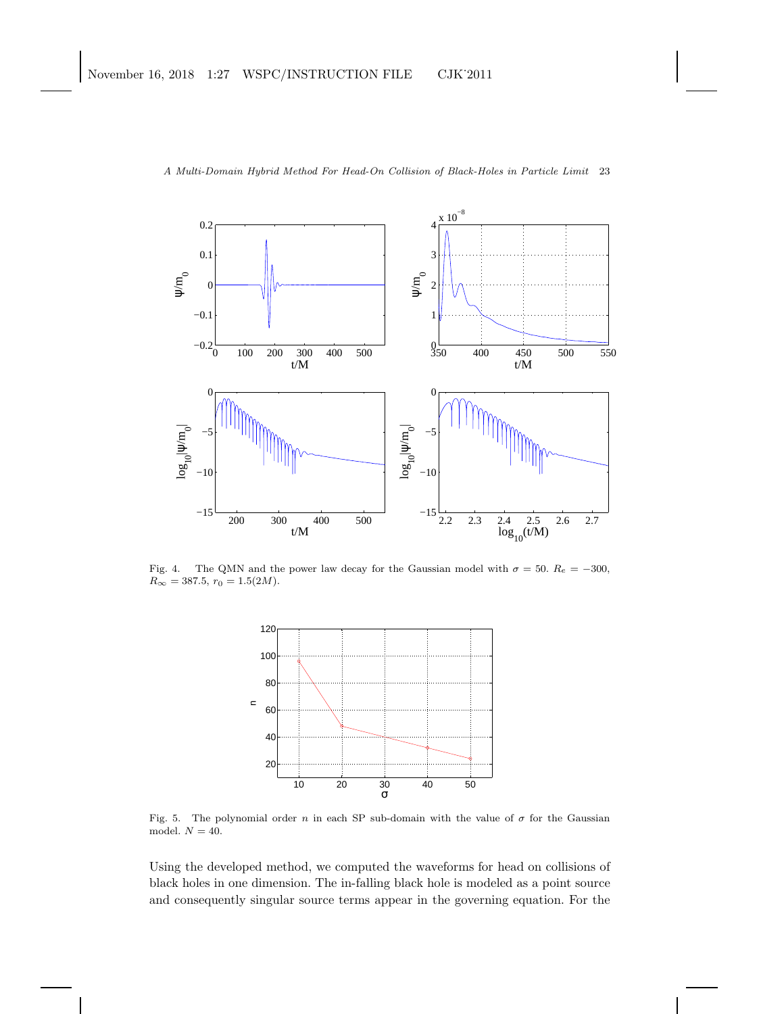

Fig. 4. The QMN and the power law decay for the Gaussian model with  $\sigma = 50$ .  $R_e = -300$ ,  $R_{\infty} = 387.5, r_0 = 1.5(2M).$ 



Fig. 5. The polynomial order n in each SP sub-domain with the value of  $\sigma$  for the Gaussian model.  $N = 40$ .

Using the developed method, we computed the waveforms for head on collisions of black holes in one dimension. The in-falling black hole is modeled as a point source and consequently singular source terms appear in the governing equation. For the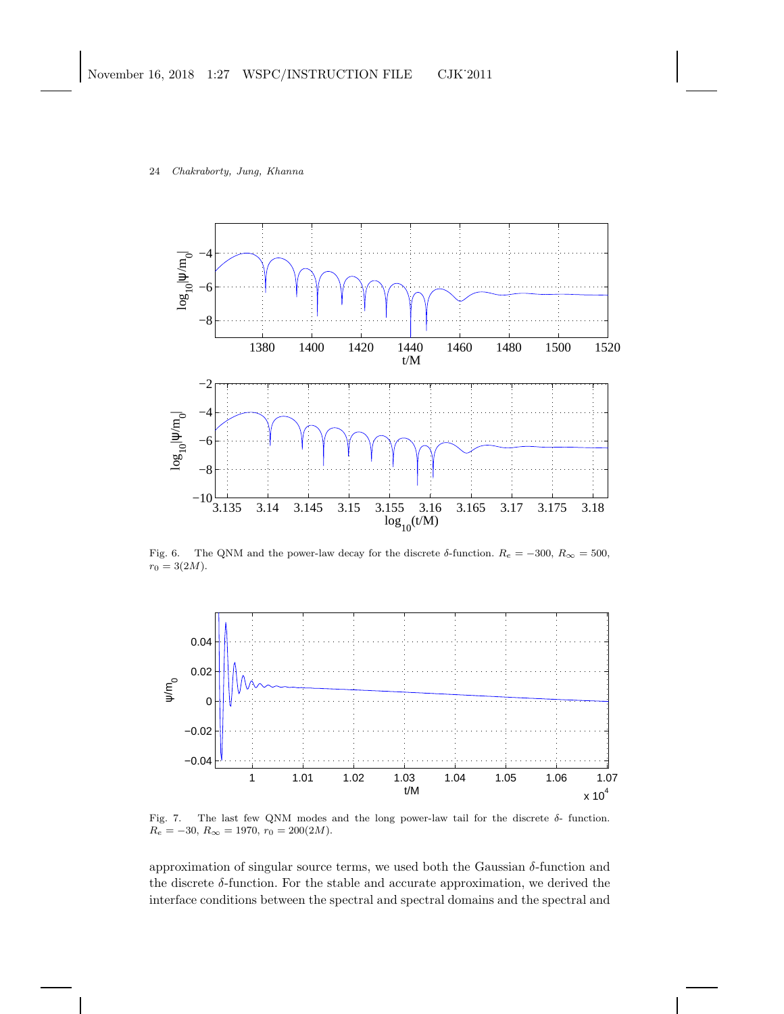



Fig. 6. The QNM and the power-law decay for the discrete  $\delta$ -function.  $R_e = -300$ ,  $R_\infty = 500$ ,  $r_0 = 3(2M)$ .



Fig. 7. The last few QNM modes and the long power-law tail for the discrete  $\delta$ - function.  $R_e = -30$ ,  $R_{\infty} = 1970$ ,  $r_0 = 200(2M)$ .

approximation of singular source terms, we used both the Gaussian  $\delta$ -function and the discrete  $\delta$ -function. For the stable and accurate approximation, we derived the interface conditions between the spectral and spectral domains and the spectral and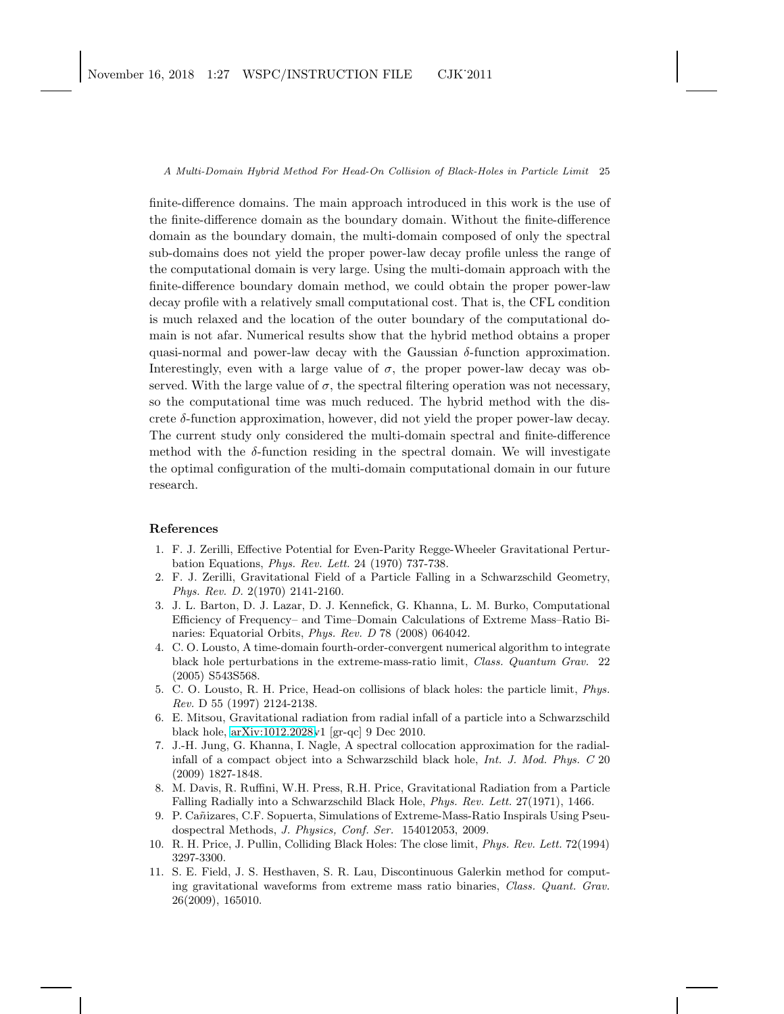finite-difference domains. The main approach introduced in this work is the use of the finite-difference domain as the boundary domain. Without the finite-difference domain as the boundary domain, the multi-domain composed of only the spectral sub-domains does not yield the proper power-law decay profile unless the range of the computational domain is very large. Using the multi-domain approach with the finite-difference boundary domain method, we could obtain the proper power-law decay profile with a relatively small computational cost. That is, the CFL condition is much relaxed and the location of the outer boundary of the computational domain is not afar. Numerical results show that the hybrid method obtains a proper quasi-normal and power-law decay with the Gaussian  $\delta$ -function approximation. Interestingly, even with a large value of  $\sigma$ , the proper power-law decay was observed. With the large value of  $\sigma$ , the spectral filtering operation was not necessary, so the computational time was much reduced. The hybrid method with the discrete δ-function approximation, however, did not yield the proper power-law decay. The current study only considered the multi-domain spectral and finite-difference method with the  $\delta$ -function residing in the spectral domain. We will investigate the optimal configuration of the multi-domain computational domain in our future research.

### <span id="page-24-0"></span>References

- 1. F. J. Zerilli, Effective Potential for Even-Parity Regge-Wheeler Gravitational Perturbation Equations, Phys. Rev. Lett. 24 (1970) 737-738.
- <span id="page-24-1"></span>2. F. J. Zerilli, Gravitational Field of a Particle Falling in a Schwarzschild Geometry, Phys. Rev. D. 2(1970) 2141-2160.
- <span id="page-24-10"></span>3. J. L. Barton, D. J. Lazar, D. J. Kennefick, G. Khanna, L. M. Burko, Computational Efficiency of Frequency– and Time–Domain Calculations of Extreme Mass–Ratio Binaries: Equatorial Orbits, Phys. Rev. D 78 (2008) 064042.
- <span id="page-24-2"></span>4. C. O. Lousto, A time-domain fourth-order-convergent numerical algorithm to integrate black hole perturbations in the extreme-mass-ratio limit, Class. Quantum Grav. 22 (2005) S543S568.
- <span id="page-24-3"></span>5. C. O. Lousto, R. H. Price, Head-on collisions of black holes: the particle limit, Phys. Rev. D 55 (1997) 2124-2138.
- <span id="page-24-4"></span>6. E. Mitsou, Gravitational radiation from radial infall of a particle into a Schwarzschild black hole, [arXiv:1012.2028v](http://arxiv.org/abs/1012.2028)1 [gr-qc] 9 Dec 2010.
- <span id="page-24-5"></span>7. J.-H. Jung, G. Khanna, I. Nagle, A spectral collocation approximation for the radialinfall of a compact object into a Schwarzschild black hole, Int. J. Mod. Phys. C 20 (2009) 1827-1848.
- <span id="page-24-6"></span>8. M. Davis, R. Ruffini, W.H. Press, R.H. Price, Gravitational Radiation from a Particle Falling Radially into a Schwarzschild Black Hole, Phys. Rev. Lett. 27(1971), 1466.
- <span id="page-24-7"></span>9. P. Ca˜nizares, C.F. Sopuerta, Simulations of Extreme-Mass-Ratio Inspirals Using Pseudospectral Methods, J. Physics, Conf. Ser. 154012053, 2009.
- <span id="page-24-9"></span><span id="page-24-8"></span>10. R. H. Price, J. Pullin, Colliding Black Holes: The close limit, Phys. Rev. Lett. 72(1994) 3297-3300.
- 11. S. E. Field, J. S. Hesthaven, S. R. Lau, Discontinuous Galerkin method for computing gravitational waveforms from extreme mass ratio binaries, Class. Quant. Grav. 26(2009), 165010.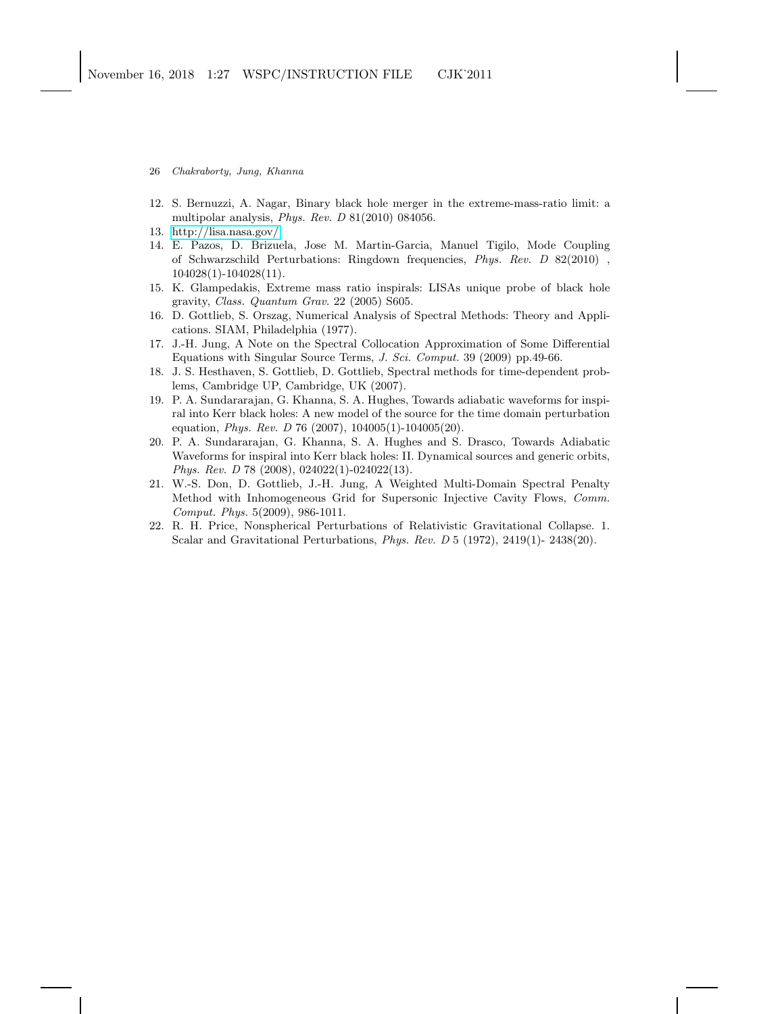- <span id="page-25-1"></span><span id="page-25-0"></span>12. S. Bernuzzi, A. Nagar, Binary black hole merger in the extreme-mass-ratio limit: a multipolar analysis, Phys. Rev. D 81(2010) 084056.
- <span id="page-25-2"></span>13.<http://lisa.nasa.gov/>
- 14. E. Pazos, D. Brizuela, Jose M. Martin-Garcia, Manuel Tigilo, Mode Coupling of Schwarzschild Perturbations: Ringdown frequencies, Phys. Rev. D 82(2010) , 104028(1)-104028(11).
- <span id="page-25-3"></span>15. K. Glampedakis, Extreme mass ratio inspirals: LISAs unique probe of black hole gravity, Class. Quantum Grav. 22 (2005) S605.
- <span id="page-25-5"></span>16. D. Gottlieb, S. Orszag, Numerical Analysis of Spectral Methods: Theory and Applications. SIAM, Philadelphia (1977).
- <span id="page-25-7"></span>17. J.-H. Jung, A Note on the Spectral Collocation Approximation of Some Differential Equations with Singular Source Terms, J. Sci. Comput. 39 (2009) pp.49-66.
- <span id="page-25-8"></span>18. J. S. Hesthaven, S. Gottlieb, D. Gottlieb, Spectral methods for time-dependent problems, Cambridge UP, Cambridge, UK (2007).
- <span id="page-25-4"></span>19. P. A. Sundararajan, G. Khanna, S. A. Hughes, Towards adiabatic waveforms for inspiral into Kerr black holes: A new model of the source for the time domain perturbation equation, Phys. Rev. D 76 (2007), 104005(1)-104005(20).
- <span id="page-25-6"></span>20. P. A. Sundararajan, G. Khanna, S. A. Hughes and S. Drasco, Towards Adiabatic Waveforms for inspiral into Kerr black holes: II. Dynamical sources and generic orbits, Phys. Rev. D 78 (2008), 024022(1)-024022(13).
- <span id="page-25-9"></span>21. W.-S. Don, D. Gottlieb, J.-H. Jung, A Weighted Multi-Domain Spectral Penalty Method with Inhomogeneous Grid for Supersonic Injective Cavity Flows, Comm. Comput. Phys. 5(2009), 986-1011.
- <span id="page-25-10"></span>22. R. H. Price, Nonspherical Perturbations of Relativistic Gravitational Collapse. 1. Scalar and Gravitational Perturbations, Phys. Rev. D 5 (1972), 2419(1)-2438(20).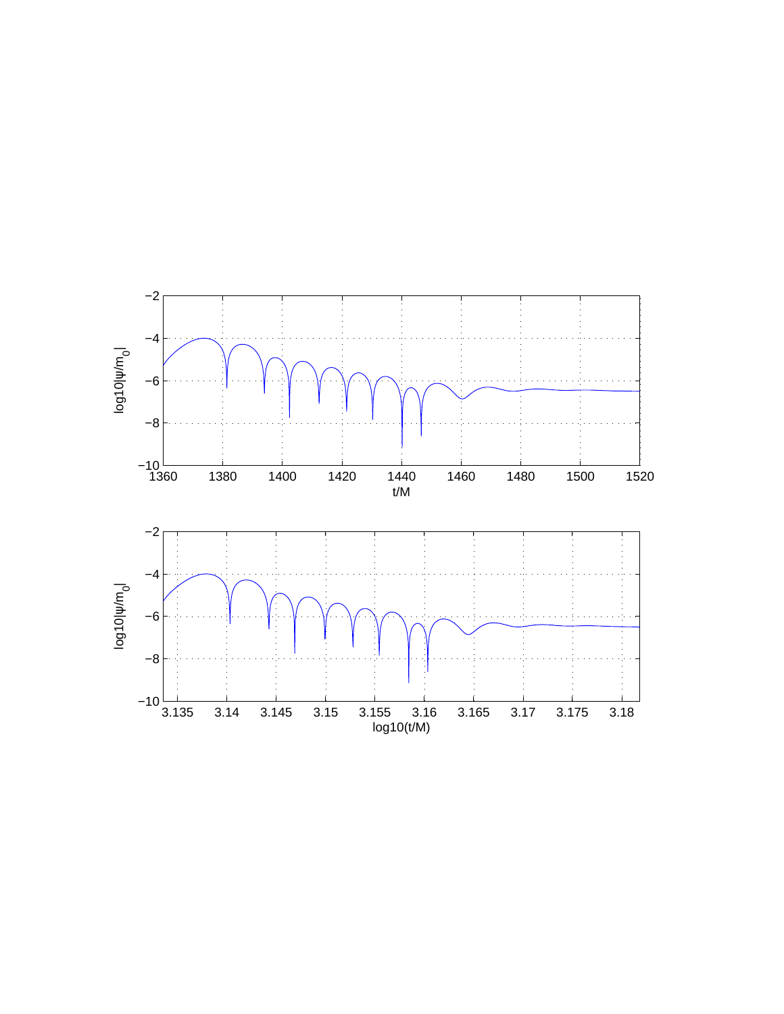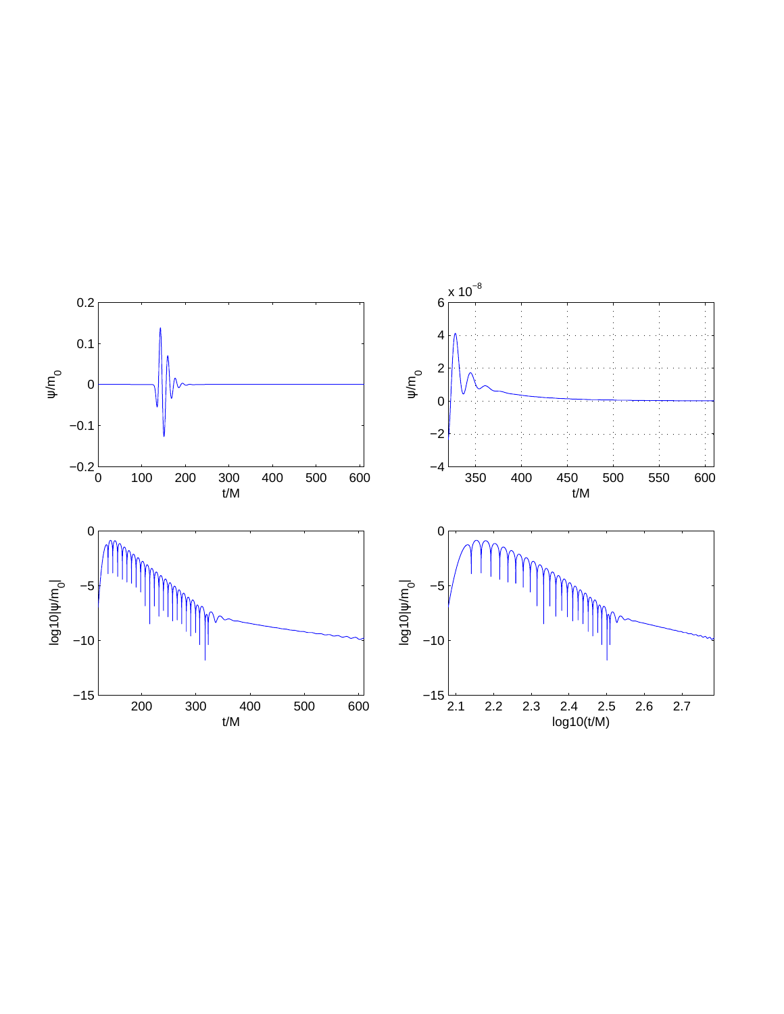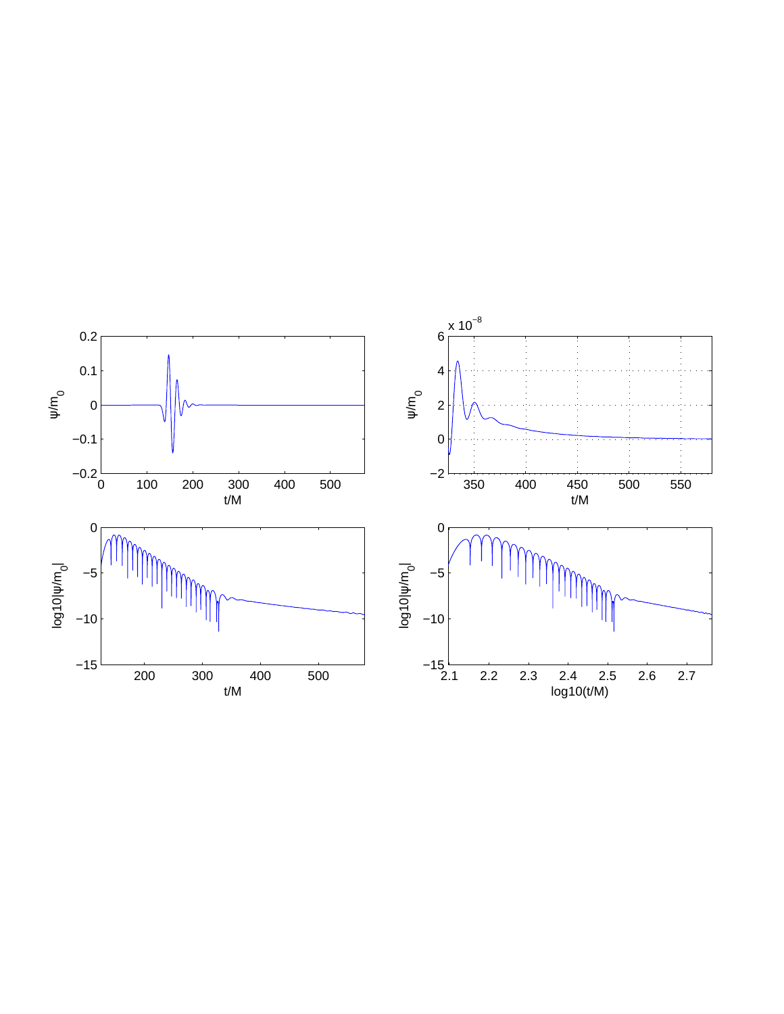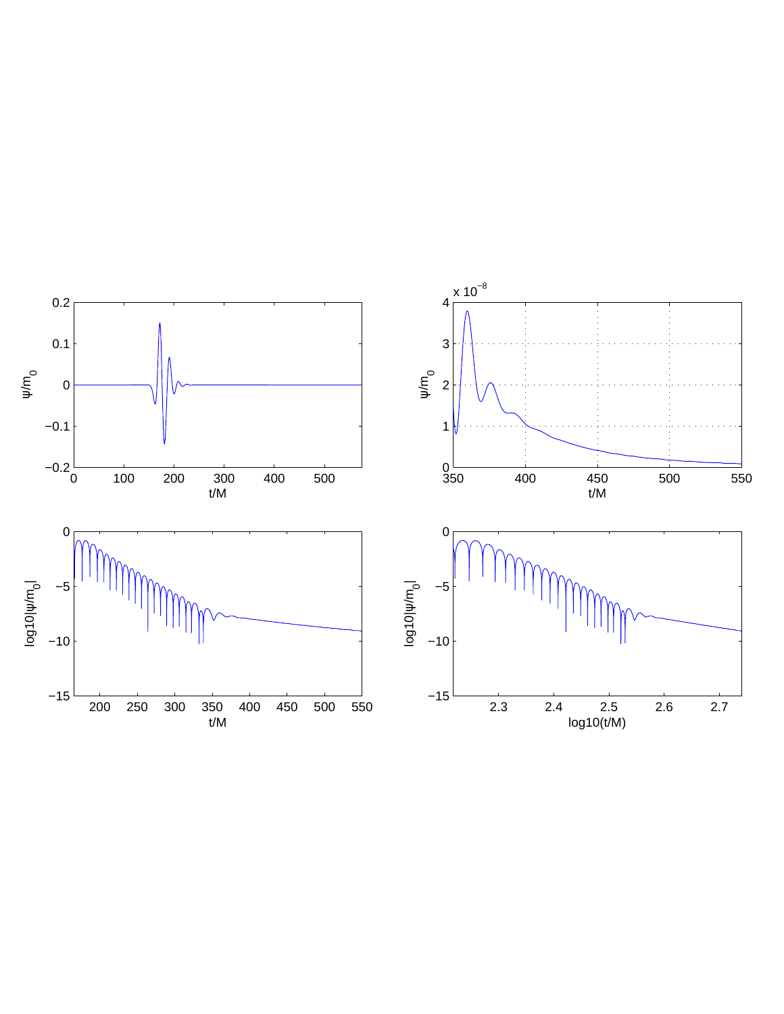